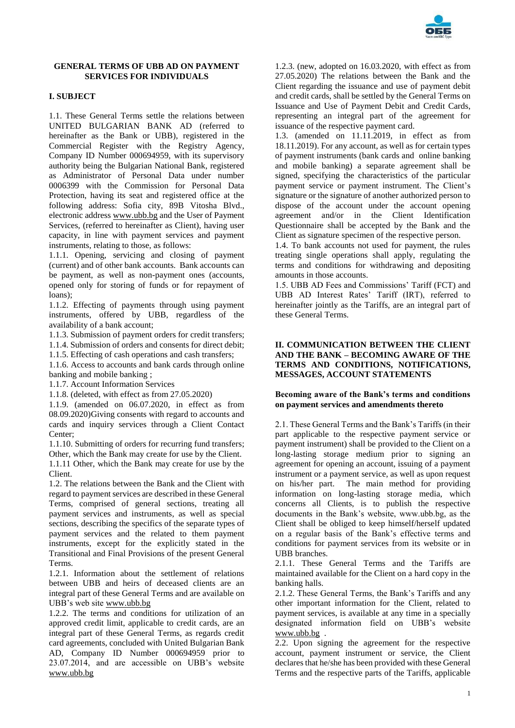

# **GENERAL TERMS OF UBB AD ON PAYMENT SERVICES FOR INDIVIDUALS**

# **I. SUBJECT**

1.1. These General Terms settle the relations between UNITED BULGARIAN BANK AD (referred to hereinafter as the Bank or UBB), registered in the Commercial Register with the Registry Agency, Company ID Number 000694959, with its supervisory authority being the Bulgarian National Bank, registered as Administrator of Personal Data under number 0006399 with the Commission for Personal Data Protection, having its seat and registered office at the following address: Sofia city, 89B Vitosha Blvd., electronic addres[s www.ubb.bg](http://www.ubb.bg/) and the User of Payment Services, (referred to hereinafter as Client), having user capacity, in line with payment services and payment instruments, relating to those, as follows:

1.1.1. Opening, servicing and closing of payment (current) and of other bank accounts. Bank accounts can be payment, as well as non-payment ones (accounts, opened only for storing of funds or for repayment of loans);

1.1.2. Effecting of payments through using payment instruments, offered by UBB, regardless of the availability of a bank account;

1.1.3. Submission of payment orders for credit transfers;

1.1.4. Submission of orders and consents for direct debit;

1.1.5. Effecting of cash operations and cash transfers;

1.1.6. Access to accounts and bank cards through online banking and mobile banking ;

1.1.7. Account Information Services

1.1.8. (deleted, with effect as from 27.05.2020)

1.1.9. (amended on 06.07.2020, in effect as from 08.09.2020)Giving consents with regard to accounts and cards and inquiry services through a Client Contact Center;

1.1.10. Submitting of orders for recurring fund transfers; Other, which the Bank may create for use by the Client. 1.1.11 Other, which the Bank may create for use by the Client.

1.2. The relations between the Bank and the Client with regard to payment services are described in these General Terms, comprised of general sections, treating all payment services and instruments, as well as special sections, describing the specifics of the separate types of payment services and the related to them payment instruments, except for the explicitly stated in the Transitional and Final Provisions of the present General Terms.

1.2.1. Information about the settlement of relations between UBB and heirs of deceased clients are an integral part of these General Terms and are available on UBB's web site [www.ubb.bg](http://www.ubb.bg/)

1.2.2. The terms and conditions for utilization of an approved credit limit, applicable to credit cards, are an integral part of these General Terms, as regards credit card agreements, concluded with United Bulgarian Bank AD, Company ID Number 000694959 prior to 23.07.2014, and are accessible on UBB's website [www.ubb.bg](http://www.ubb.bg/)

1.2.3. (new, adopted on 16.03.2020, with effect as from 27.05.2020) The relations between the Bank and the Client regarding the issuance and use of payment debit and credit cards, shall be settled by the General Terms on Issuance and Use of Payment Debit and Credit Cards, representing an integral part of the agreement for issuance of the respective payment card.

1.3. (amended on 11.11.2019, in effect as from 18.11.2019). For any account, as well as for certain types of payment instruments (bank cards and online banking and mobile banking) a separate agreement shall be signed, specifying the characteristics of the particular payment service or payment instrument. The Client's signature or the signature of another authorized person to dispose of the account under the account opening agreement and/or in the Client Identification Questionnaire shall be accepted by the Bank and the Client as signature specimen of the respective person.

1.4. To bank accounts not used for payment, the rules treating single operations shall apply, regulating the terms and conditions for withdrawing and depositing amounts in those accounts.

1.5. UBB AD Fees and Commissions' Tariff (FCT) and UBB AD Interest Rates' Tariff (IRT), referred to hereinafter jointly as the Tariffs, are an integral part of these General Terms.

### **II. COMMUNICATION BETWEEN THE CLIENT AND THE BANK – BECOMING AWARE OF THE TERMS AND CONDITIONS, NOTIFICATIONS, MESSAGES, ACCOUNT STATEMENTS**

# **Becoming aware of the Bank's terms and conditions on payment services and amendments thereto**

2.1. These General Terms and the Bank's Tariffs (in their part applicable to the respective payment service or payment instrument) shall be provided to the Client on a long-lasting storage medium prior to signing an agreement for opening an account, issuing of a payment instrument or a payment service, as well as upon request on his/her part. The main method for providing information on long-lasting storage media, which concerns all Clients, is to publish the respective documents in the Bank's website, www.ubb.bg, as the Client shall be obliged to keep himself/herself updated on a regular basis of the Bank's effective terms and conditions for payment services from its website or in UBB branches.

2.1.1. These General Terms and the Tariffs are maintained available for the Client on a hard copy in the banking halls.

2.1.2. These General Terms, the Bank's Tariffs and any other important information for the Client, related to payment services, is available at any time in a specially designated information field on UBB's website [www.ubb.bg](http://www.ubb.bg/) .

2.2. Upon signing the agreement for the respective account, payment instrument or service, the Client declares that he/she has been provided with these General Terms and the respective parts of the Tariffs, applicable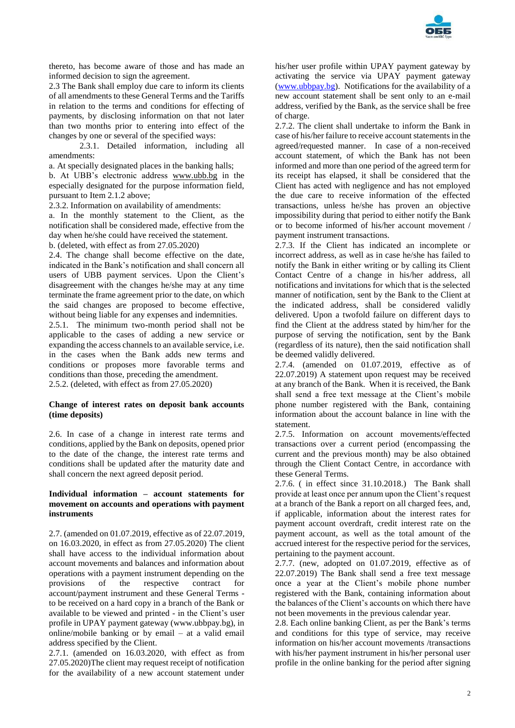

thereto, has become aware of those and has made an informed decision to sign the agreement.

2.3 The Bank shall employ due care to inform its clients of all amendments to these General Terms and the Tariffs in relation to the terms and conditions for effecting of payments, by disclosing information on that not later than two months prior to entering into effect of the changes by one or several of the specified ways:

2.3.1. Detailed information, including all amendments:

а. At specially designated places in the banking halls;

b. At UBB's electronic address [www.ubb.bg](http://www.ubb.bg/) in the especially designated for the purpose information field, pursuant to Item 2.1.2 above;

2.3.2. Information on availability of amendments:

а. In the monthly statement to the Client, as the notification shall be considered made, effective from the day when he/she could have received the statement.

b. (deleted, with effect as from 27.05.2020)

2.4. The change shall become effective on the date, indicated in the Bank's notification and shall concern all users of UBB payment services. Upon the Client's disagreement with the changes he/she may at any time terminate the frame agreement prior to the date, on which the said changes are proposed to become effective, without being liable for any expenses and indemnities.

2.5.1. The minimum two-month period shall not be applicable to the cases of adding a new service or expanding the access channels to an available service, i.e. in the cases when the Bank adds new terms and conditions or proposes more favorable terms and conditions than those, preceding the amendment. 2.5.2. (deleted, with effect as from 27.05.2020)

### **Change of interest rates on deposit bank accounts (time deposits)**

2.6. In case of a change in interest rate terms and conditions, applied by the Bank on deposits, opened prior to the date of the change, the interest rate terms and conditions shall be updated after the maturity date and shall concern the next agreed deposit period.

### **Individual information – account statements for movement on accounts and operations with payment instruments**

2.7. (amended on 01.07.2019, effective as of 22.07.2019, on 16.03.2020, in effect as from 27.05.2020) The client shall have access to the individual information about account movements and balances and information about operations with a payment instrument depending on the provisions of the respective contract for account/payment instrument and these General Terms to be received on a hard copy in a branch of the Bank or available to be viewed and printed - in the Client's user profile in UPAY payment gateway (www.ubbpay.bg), in online/mobile banking or by email – at a valid email address specified by the Client.

2.7.1. (amended on 16.03.2020, with effect as from 27.05.2020)The client may request receipt of notification for the availability of a new account statement under

his/her user profile within UPAY payment gateway by activating the service via UPAY payment gateway [\(www.ubbpay.bg\)](http://www.ubbpay.bg/). Notifications for the availability of a new account statement shall be sent only to an e-mail address, verified by the Bank, as the service shall be free of charge.

2.7.2. The client shall undertake to inform the Bank in case of his/her failure to receive account statements in the agreed/requested manner. In case of a non-received account statement, of which the Bank has not been informed and more than one period of the agreed term for its receipt has elapsed, it shall be considered that the Client has acted with negligence and has not employed the due care to receive information of the effected transactions, unless he/she has proven an objective impossibility during that period to either notify the Bank or to become informed of his/her account movement / payment instrument transactions.

2.7.3. If the Client has indicated an incomplete or incorrect address, as well as in case he/she has failed to notify the Bank in either writing or by calling its Client Contact Centre of a change in his/her address, all notifications and invitations for which that is the selected manner of notification, sent by the Bank to the Client at the indicated address, shall be considered validly delivered. Upon a twofold failure on different days to find the Client at the address stated by him/her for the purpose of serving the notification, sent by the Bank (regardless of its nature), then the said notification shall be deemed validly delivered.

2.7.4. (amended on 01.07.2019, effective as of 22.07.2019) A statement upon request may be received at any branch of the Bank. When it is received, the Bank shall send a free text message at the Client's mobile phone number registered with the Bank, containing information about the account balance in line with the statement.

2.7.5. Information on account movements/effected transactions over a current period (encompassing the current and the previous month) may be also obtained through the Client Contact Centre, in accordance with these General Terms.

2.7.6. ( in effect since 31.10.2018.) The Bank shall provide at least once per annum upon the Client's request at a branch of the Bank a report on all charged fees, and, if applicable, information about the interest rates for payment account overdraft, credit interest rate on the payment account, as well as the total amount of the accrued interest for the respective period for the services, pertaining to the payment account.

2.7.7. (new, adopted on 01.07.2019, effective as of 22.07.2019) The Bank shall send a free text message once a year at the Client's mobile phone number registered with the Bank, containing information about the balances of the Client's accounts on which there have not been movements in the previous calendar year.

2.8. Each online banking Client, as per the Bank's terms and conditions for this type of service, may receive information on his/her account movements /transactions with his/her payment instrument in his/her personal user profile in the online banking for the period after signing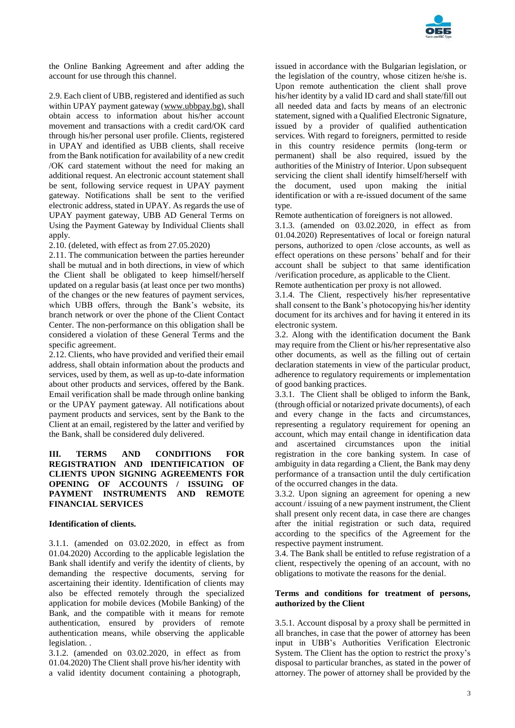

the Online Banking Agreement and after adding the account for use through this channel.

2.9. Each client of UBB, registered and identified as such within UPAY payment gateway [\(www.ubbpay.bg\)](http://www.ubbpay.bg/), shall obtain access to information about his/her account movement and transactions with a credit card/OK card through his/her personal user profile. Clients, registered in UPAY and identified as UBB clients, shall receive from the Bank notification for availability of a new credit /OK card statement without the need for making an additional request. An electronic account statement shall be sent, following service request in UPAY payment gateway. Notifications shall be sent to the verified electronic address, stated in UPAY. As regards the use of UPAY payment gateway, UBB AD General Terms on Using the Payment Gateway by Individual Clients shall apply.

2.10. (deleted, with effect as from 27.05.2020)

2.11. The communication between the parties hereunder shall be mutual and in both directions, in view of which the Client shall be obligated to keep himself/herself updated on a regular basis (at least once per two months) of the changes or the new features of payment services, which UBB offers, through the Bank's website, its branch network or over the phone of the Client Contact Center. The non-performance on this obligation shall be considered a violation of these General Terms and the specific agreement.

2.12. Clients, who have provided and verified their email address, shall obtain information about the products and services, used by them, as well as up-to-date information about other products and services, offered by the Bank. Email verification shall be made through online banking or the UPAY payment gateway. All notifications about payment products and services, sent by the Bank to the Client at an email, registered by the latter and verified by the Bank, shall be considered duly delivered.

# **III. TERMS AND CONDITIONS FOR REGISTRATION AND IDENTIFICATION OF CLIENTS UPON SIGNING AGREEMENTS FOR OPENING OF ACCOUNTS / ISSUING OF PAYMENT INSTRUMENTS AND REMOTE FINANCIAL SERVICES**

# **Identification of clients.**

3.1.1. (amended on 03.02.2020, in effect as from 01.04.2020) According to the applicable legislation the Bank shall identify and verify the identity of clients, by demanding the respective documents, serving for ascertaining their identity. Identification of clients may also be effected remotely through the specialized application for mobile devices (Mobile Banking) of the Bank, and the compatible with it means for remote authentication, ensured by providers of remote authentication means, while observing the applicable legislation. .

3.1.2. (amended on 03.02.2020, in effect as from 01.04.2020) The Client shall prove his/her identity with a valid identity document containing a photograph,

issued in accordance with the Bulgarian legislation, or the legislation of the country, whose citizen he/she is. Upon remote authentication the client shall prove his/her identity by a valid ID card and shall state/fill out all needed data and facts by means of an electronic statement, signed with a Qualified Electronic Signature, issued by a provider of qualified authentication services. With regard to foreigners, permitted to reside in this country residence permits (long-term or permanent) shall be also required, issued by the authorities of the Ministry of Interior. Upon subsequent servicing the client shall identify himself/herself with the document, used upon making the initial identification or with a re-issued document of the same type.

Remote authentication of foreigners is not allowed.

3.1.3. (amended on 03.02.2020, in effect as from 01.04.2020) Representatives of local or foreign natural persons, authorized to open /close accounts, as well as effect operations on these persons' behalf and for their account shall be subject to that same identification /verification procedure, as applicable to the Client. Remote authentication per proxy is not allowed.

3.1.4. The Client, respectively his/her representative shall consent to the Bank's photocopying his/her identity document for its archives and for having it entered in its electronic system.

3.2. Along with the identification document the Bank may require from the Client or his/her representative also other documents, as well as the filling out of certain declaration statements in view of the particular product, adherence to regulatory requirements or implementation of good banking practices.

3.3.1. The Client shall be obliged to inform the Bank, (through official or notarized private documents), of each and every change in the facts and circumstances, representing a regulatory requirement for opening an account, which may entail change in identification data and ascertained circumstances upon the initial registration in the core banking system. In case of ambiguity in data regarding a Client, the Bank may deny performance of a transaction until the duly certification of the occurred changes in the data.

3.3.2. Upon signing an agreement for opening a new account / issuing of a new payment instrument, the Client shall present only recent data, in case there are changes after the initial registration or such data, required according to the specifics of the Agreement for the respective payment instrument.

3.4. The Bank shall be entitled to refuse registration of a client, respectively the opening of an account, with no obligations to motivate the reasons for the denial.

### **Terms and conditions for treatment of persons, authorized by the Client**

3.5.1. Account disposal by a proxy shall be permitted in all branches, in case that the power of attorney has been input in UBB's Authorities Verification Electronic System. The Client has the option to restrict the proxy's disposal to particular branches, as stated in the power of attorney. The power of attorney shall be provided by the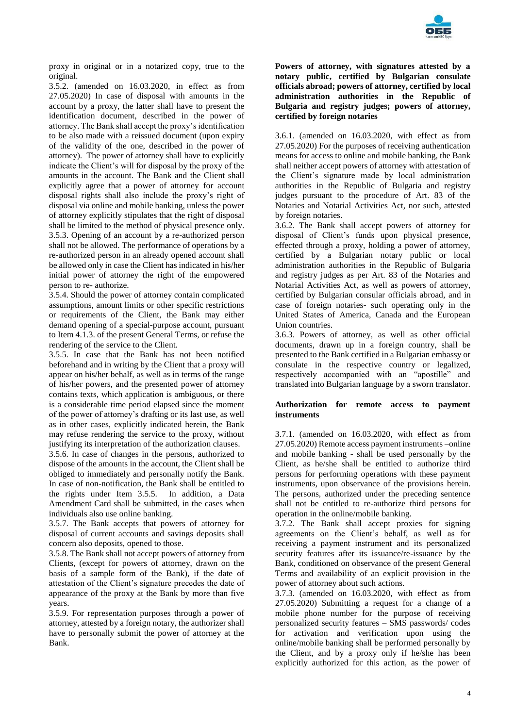

proxy in original or in a notarized copy, true to the original.

3.5.2. (amended on 16.03.2020, in effect as from 27.05.2020) In case of disposal with amounts in the account by a proxy, the latter shall have to present the identification document, described in the power of attorney. The Bank shall accept the proxy's identification to be also made with a reissued document (upon expiry of the validity of the one, described in the power of attorney). The power of attorney shall have to explicitly indicate the Client's will for disposal by the proxy of the amounts in the account. The Bank and the Client shall explicitly agree that a power of attorney for account disposal rights shall also include the proxy's right of disposal via online and mobile banking, unless the power of attorney explicitly stipulates that the right of disposal shall be limited to the method of physical presence only. 3.5.3. Opening of an account by a re-authorized person shall not be allowed. The performance of operations by a re-authorized person in an already opened account shall be allowed only in case the Client has indicated in his/her initial power of attorney the right of the empowered person to re- authorize.

3.5.4. Should the power of attorney contain complicated assumptions, amount limits or other specific restrictions or requirements of the Client, the Bank may either demand opening of a special-purpose account, pursuant to Item 4.1.3. of the present General Terms, or refuse the rendering of the service to the Client.

3.5.5. In case that the Bank has not been notified beforehand and in writing by the Client that a proxy will appear on his/her behalf, as well as in terms of the range of his/her powers, and the presented power of attorney contains texts, which application is ambiguous, or there is a considerable time period elapsed since the moment of the power of attorney's drafting or its last use, as well as in other cases, explicitly indicated herein, the Bank may refuse rendering the service to the proxy, without justifying its interpretation of the authorization clauses.

3.5.6. In case of changes in the persons, authorized to dispose of the amounts in the account, the Client shall be obliged to immediately and personally notify the Bank. In case of non-notification, the Bank shall be entitled to the rights under Item 3.5.5. In addition, a Data Amendment Card shall be submitted, in the cases when individuals also use online banking.

3.5.7. The Bank accepts that powers of attorney for disposal of current accounts and savings deposits shall concern also deposits, opened to those.

3.5.8. The Bank shall not accept powers of attorney from Clients, (except for powers of attorney, drawn on the basis of a sample form of the Bank), if the date of attestation of the Client's signature precedes the date of appearance of the proxy at the Bank by more than five years.

3.5.9. For representation purposes through a power of attorney, attested by a foreign notary, the authorizer shall have to personally submit the power of attorney at the Bank.

**Powers of attorney, with signatures attested by a notary public, certified by Bulgarian consulate officials abroad; powers of attorney, certified by local administration authorities in the Republic of Bulgaria and registry judges; powers of attorney, certified by foreign notaries**

3.6.1. (amended on 16.03.2020, with effect as from 27.05.2020) For the purposes of receiving authentication means for access to online and mobile banking, the Bank shall neither accept powers of attorney with attestation of the Client's signature made by local administration authorities in the Republic of Bulgaria and registry judges pursuant to the procedure of Art. 83 of the Notaries and Notarial Activities Act, nor such, attested by foreign notaries.

3.6.2. The Bank shall accept powers of attorney for disposal of Client's funds upon physical presence, effected through a proxy, holding a power of attorney, certified by a Bulgarian notary public or local administration authorities in the Republic of Bulgaria and registry judges as per Art. 83 of the Notaries and Notarial Activities Act, as well as powers of attorney, certified by Bulgarian consular officials abroad, and in case of foreign notaries- such operating only in the United States of America, Canada and the European Union countries.

3.6.3. Powers of attorney, as well as other official documents, drawn up in a foreign country, shall be presented to the Bank certified in a Bulgarian embassy or consulate in the respective country or legalized, respectively accompanied with an "apostille" and translated into Bulgarian language by a sworn translator.

# **Authorization for remote access to payment instruments**

3.7.1. (amended on 16.03.2020, with effect as from 27.05.2020) Remote access payment instruments –online and mobile banking - shall be used personally by the Client, as he/she shall be entitled to authorize third persons for performing operations with these payment instruments, upon observance of the provisions herein. The persons, authorized under the preceding sentence shall not be entitled to re-authorize third persons for operation in the online/mobile banking.

3.7.2. The Bank shall accept proxies for signing agreements on the Client's behalf, as well as for receiving a payment instrument and its personalized security features after its issuance/re-issuance by the Bank, conditioned on observance of the present General Terms and availability of an explicit provision in the power of attorney about such actions.

3.7.3. (amended on 16.03.2020, with effect as from 27.05.2020) Submitting a request for a change of a mobile phone number for the purpose of receiving personalized security features – SMS passwords/ codes for activation and verification upon using the online/mobile banking shall be performed personally by the Client, and by a proxy only if he/she has been explicitly authorized for this action, as the power of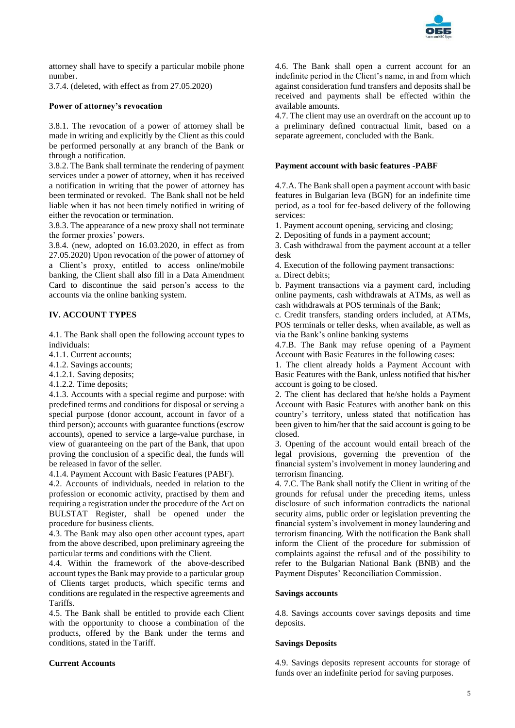

attorney shall have to specify a particular mobile phone number.

3.7.4. (deleted, with effect as from 27.05.2020)

# **Power of attorney's revocation**

3.8.1. The revocation of a power of attorney shall be made in writing and explicitly by the Client as this could be performed personally at any branch of the Bank or through a notification.

3.8.2. The Bank shall terminate the rendering of payment services under a power of attorney, when it has received a notification in writing that the power of attorney has been terminated or revoked. The Bank shall not be held liable when it has not been timely notified in writing of either the revocation or termination.

3.8.3. The appearance of a new proxy shall not terminate the former proxies' powers.

3.8.4. (new, adopted on 16.03.2020, in effect as from 27.05.2020) Upon revocation of the power of attorney of a Client's proxy, entitled to access online/mobile banking, the Client shall also fill in a Data Amendment Card to discontinue the said person's access to the accounts via the online banking system.

# **IV. ACCOUNT TYPES**

4.1. The Bank shall open the following account types to individuals:

4.1.1. Current accounts;

4.1.2. Savings accounts;

4.1.2.1. Saving deposits;

4.1.2.2. Time deposits;

4.1.3. Accounts with a special regime and purpose: with predefined terms and conditions for disposal or serving a special purpose (donor account, account in favor of a third person); accounts with guarantee functions (escrow accounts), opened to service a large-value purchase, in view of guaranteeing on the part of the Bank, that upon proving the conclusion of a specific deal, the funds will be released in favor of the seller.

4.1.4. Payment Account with Basic Features (PABF).

4.2. Accounts of individuals, needed in relation to the profession or economic activity, practised by them and requiring a registration under the procedure of the Act on BULSTAT Register, shall be opened under the procedure for business clients.

4.3. The Bank may also open other account types, apart from the above described, upon preliminary agreeing the particular terms and conditions with the Client.

4.4. Within the framework of the above-described account types the Bank may provide to a particular group of Clients target products, which specific terms and conditions are regulated in the respective agreements and Tariffs.

4.5. The Bank shall be entitled to provide each Client with the opportunity to choose a combination of the products, offered by the Bank under the terms and conditions, stated in the Tariff.

# **Current Accounts**

4.6. The Bank shall open a current account for an indefinite period in the Client's name, in and from which against consideration fund transfers and deposits shall be received and payments shall be effected within the available amounts.

4.7. The client may use an overdraft on the account up to a preliminary defined contractual limit, based on a separate agreement, concluded with the Bank.

### **Payment account with basic features -PABF**

4.7.A. The Bank shall open a payment account with basic features in Bulgarian leva (BGN) for an indefinite time period, as a tool for fee-based delivery of the following services:

1. Payment account opening, servicing and closing;

2. Depositing of funds in a payment account;

3. Cash withdrawal from the payment account at a teller desk

4. Execution of the following payment transactions:

а. Direct debits;

b. Payment transactions via a payment card, including online payments, cash withdrawals at ATMs, as well as cash withdrawals at POS terminals of the Bank;

c. Credit transfers, standing orders included, at ATMs, POS terminals or teller desks, when available, as well as via the Bank's online banking systems

4.7.B. The Bank may refuse opening of a Payment Account with Basic Features in the following cases:

1. The client already holds a Payment Account with Basic Features with the Bank, unless notified that his/her account is going to be closed.

2. The client has declared that he/she holds a Payment Account with Basic Features with another bank on this country's territory, unless stated that notification has been given to him/her that the said account is going to be closed.

3. Opening of the account would entail breach of the legal provisions, governing the prevention of the financial system's involvement in money laundering and terrorism financing.

4. 7.C. The Bank shall notify the Client in writing of the grounds for refusal under the preceding items, unless disclosure of such information contradicts the national security aims, public order or legislation preventing the financial system's involvement in money laundering and terrorism financing. With the notification the Bank shall inform the Client of the procedure for submission of complaints against the refusal and of the possibility to refer to the Bulgarian National Bank (BNB) and the Payment Disputes' Reconciliation Commission.

# **Savings accounts**

4.8. Savings accounts cover savings deposits and time deposits.

# **Savings Deposits**

4.9. Savings deposits represent accounts for storage of funds over an indefinite period for saving purposes.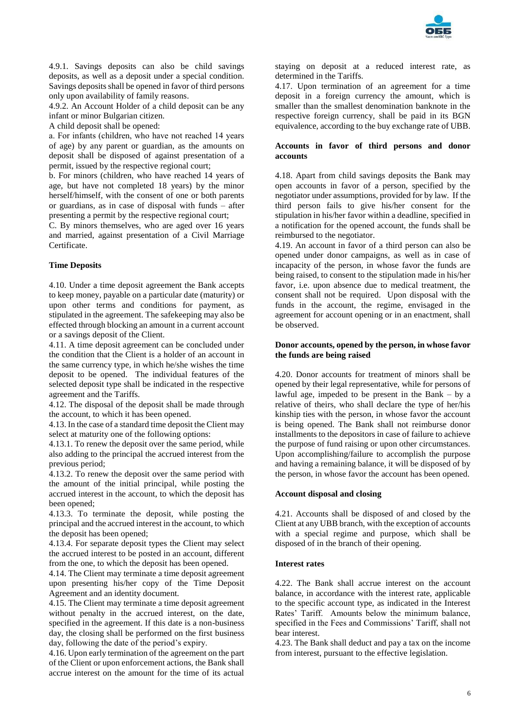

4.9.1. Savings deposits can also be child savings deposits, as well as a deposit under a special condition. Savings deposits shall be opened in favor of third persons only upon availability of family reasons.

4.9.2. An Account Holder of a child deposit can be any infant or minor Bulgarian citizen.

A child deposit shall be opened:

а. For infants (children, who have not reached 14 years of age) by any parent or guardian, as the amounts on deposit shall be disposed of against presentation of a permit, issued by the respective regional court;

b. For minors (children, who have reached 14 years of age, but have not completed 18 years) by the minor herself/himself, with the consent of one or both parents or guardians, as in case of disposal with funds – after presenting a permit by the respective regional court;

C. By minors themselves, who are aged over 16 years and married, against presentation of a Civil Marriage Certificate.

# **Time Deposits**

4.10. Under a time deposit agreement the Bank accepts to keep money, payable on a particular date (maturity) or upon other terms and conditions for payment, as stipulated in the agreement. The safekeeping may also be effected through blocking an amount in a current account or a savings deposit of the Client.

4.11. A time deposit agreement can be concluded under the condition that the Client is a holder of an account in the same currency type, in which he/she wishes the time deposit to be opened. The individual features of the selected deposit type shall be indicated in the respective agreement and the Tariffs.

4.12. The disposal of the deposit shall be made through the account, to which it has been opened.

4.13. In the case of a standard time deposit the Client may select at maturity one of the following options:

4.13.1. To renew the deposit over the same period, while also adding to the principal the accrued interest from the previous period;

4.13.2. To renew the deposit over the same period with the amount of the initial principal, while posting the accrued interest in the account, to which the deposit has been opened;

4.13.3. To terminate the deposit, while posting the principal and the accrued interest in the account, to which the deposit has been opened;

4.13.4. For separate deposit types the Client may select the accrued interest to be posted in an account, different from the one, to which the deposit has been opened.

4.14. The Client may terminate a time deposit agreement upon presenting his/her copy of the Time Deposit Agreement and an identity document.

4.15. The Client may terminate a time deposit agreement without penalty in the accrued interest, on the date, specified in the agreement. If this date is a non-business day, the closing shall be performed on the first business day, following the date of the period's expiry.

4.16. Upon early termination of the agreement on the part of the Client or upon enforcement actions, the Bank shall accrue interest on the amount for the time of its actual

staying on deposit at a reduced interest rate, as determined in the Tariffs.

4.17. Upon termination of an agreement for a time deposit in a foreign currency the amount, which is smaller than the smallest denomination banknote in the respective foreign currency, shall be paid in its BGN equivalence, according to the buy exchange rate of UBB.

### **Accounts in favor of third persons and donor accounts**

4.18. Apart from child savings deposits the Bank may open accounts in favor of a person, specified by the negotiator under assumptions, provided for by law. If the third person fails to give his/her consent for the stipulation in his/her favor within a deadline, specified in a notification for the opened account, the funds shall be reimbursed to the negotiator.

4.19. An account in favor of a third person can also be opened under donor campaigns, as well as in case of incapacity of the person, in whose favor the funds are being raised, to consent to the stipulation made in his/her favor, i.e. upon absence due to medical treatment, the consent shall not be required. Upon disposal with the funds in the account, the regime, envisaged in the agreement for account opening or in an enactment, shall be observed.

# **Donor accounts, opened by the person, in whose favor the funds are being raised**

4.20. Donor accounts for treatment of minors shall be opened by their legal representative, while for persons of lawful age, impeded to be present in the Bank – by a relative of theirs, who shall declare the type of her/his kinship ties with the person, in whose favor the account is being opened. The Bank shall not reimburse donor installments to the depositors in case of failure to achieve the purpose of fund raising or upon other circumstances. Upon accomplishing/failure to accomplish the purpose and having a remaining balance, it will be disposed of by the person, in whose favor the account has been opened.

#### **Account disposal and closing**

4.21. Accounts shall be disposed of and closed by the Client at any UBB branch, with the exception of accounts with a special regime and purpose, which shall be disposed of in the branch of their opening.

# **Interest rates**

4.22. The Bank shall accrue interest on the account balance, in accordance with the interest rate, applicable to the specific account type, as indicated in the Interest Rates' Tariff. Amounts below the minimum balance, specified in the Fees and Commissions' Tariff, shall not bear interest.

4.23. The Bank shall deduct and pay a tax on the income from interest, pursuant to the effective legislation.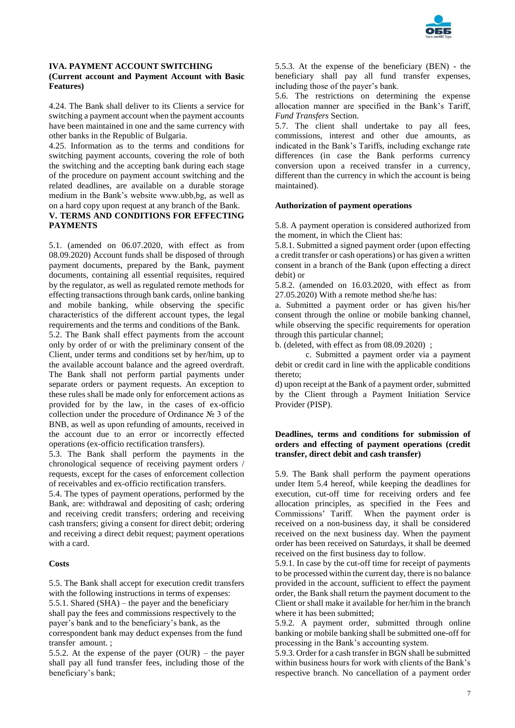

# **IVA. PAYMENT ACCOUNT SWITCHING (Current account and Payment Account with Basic Features)**

4.24. The Bank shall deliver to its Clients a service for switching a payment account when the payment accounts have been maintained in one and the same currency with other banks in the Republic of Bulgaria.

4.25. Information as to the terms and conditions for switching payment accounts, covering the role of both the switching and the accepting bank during each stage of the procedure on payment account switching and the related deadlines, are available on a durable storage medium in the Bank's website www.ubb,bg, as well as on a hard copy upon request at any branch of the Bank.

# **V. TERMS AND CONDITIONS FOR EFFECTING PAYMENTS**

5.1. (amended on 06.07.2020, with effect as from 08.09.2020) Account funds shall be disposed of through payment documents, prepared by the Bank, payment documents, containing all essential requisites, required by the regulator, as well as regulated remote methods for effecting transactions through bank cards, online banking and mobile banking, while observing the specific characteristics of the different account types, the legal requirements and the terms and conditions of the Bank.

5.2. The Bank shall effect payments from the account only by order of or with the preliminary consent of the Client, under terms and conditions set by her/him, up to the available account balance and the agreed overdraft. The Bank shall not perform partial payments under separate orders or payment requests. An exception to these rules shall be made only for enforcement actions as provided for by the law, in the cases of ex-officio collection under the procedure of Ordinance № 3 of the BNB, as well as upon refunding of amounts, received in the account due to an error or incorrectly effected operations (ex-officio rectification transfers).

5.3. The Bank shall perform the payments in the chronological sequence of receiving payment orders / requests, except for the cases of enforcement collection of receivables and ex-officio rectification transfers.

5.4. The types of payment operations, performed by the Bank, are: withdrawal and depositing of cash; ordering and receiving credit transfers; ordering and receiving cash transfers; giving a consent for direct debit; ordering and receiving a direct debit request; payment operations with a card.

# **Costs**

5.5. The Bank shall accept for execution credit transfers with the following instructions in terms of expenses: 5.5.1. Shared (SHA) – the payer and the beneficiary shall pay the fees and commissions respectively to the payer's bank and to the beneficiary's bank, as the correspondent bank may deduct expenses from the fund transfer amount. ;

5.5.2. At the expense of the payer (OUR) – the payer shall pay all fund transfer fees, including those of the beneficiary's bank;

5.5.3. At the expense of the beneficiary (BEN) - the beneficiary shall pay all fund transfer expenses, including those of the payer's bank.

5.6. The restrictions on determining the expense allocation manner are specified in the Bank's Tariff, *Fund Transfers* Section.

5.7. The client shall undertake to pay all fees, commissions, interest and other due amounts, as indicated in the Bank's Tariffs, including exchange rate differences (in case the Bank performs currency conversion upon a received transfer in a currency, different than the currency in which the account is being maintained).

# **Authorization of payment operations**

5.8. A payment operation is considered authorized from the moment, in which the Client has:

5.8.1. Submitted a signed payment order (upon effecting a credit transfer or cash operations) or has given a written consent in a branch of the Bank (upon effecting a direct debit) or

5.8.2. (amended on 16.03.2020, with effect as from 27.05.2020) With a remote method she/he has:

a. Submitted a payment order or has given his/her consent through the online or mobile banking channel, while observing the specific requirements for operation through this particular channel;

b. (deleted, with effect as from 08.09.2020) ;

c. Submitted a payment order via a payment debit or credit card in line with the applicable conditions thereto;

d) upon receipt at the Bank of a payment order, submitted by the Client through a Payment Initiation Service Provider (PISP).

# **Deadlines, terms and conditions for submission of orders and effecting of payment operations (credit transfer, direct debit and cash transfer)**

5.9. The Bank shall perform the payment operations under Item 5.4 hereof, while keeping the deadlines for execution, cut-off time for receiving orders and fee allocation principles, as specified in the Fees and Commissions' Tariff. When the payment order is received on a non-business day, it shall be considered received on the next business day. When the payment order has been received on Saturdays, it shall be deemed received on the first business day to follow.

5.9.1. In case by the cut-off time for receipt of payments to be processed within the current day, there is no balance provided in the account, sufficient to effect the payment order, the Bank shall return the payment document to the Client or shall make it available for her/him in the branch where it has been submitted;

5.9.2. A payment order, submitted through online banking or mobile banking shall be submitted one-off for processing in the Bank's accounting system.

5.9.3. Order for a cash transfer in BGN shall be submitted within business hours for work with clients of the Bank's respective branch. No cancellation of a payment order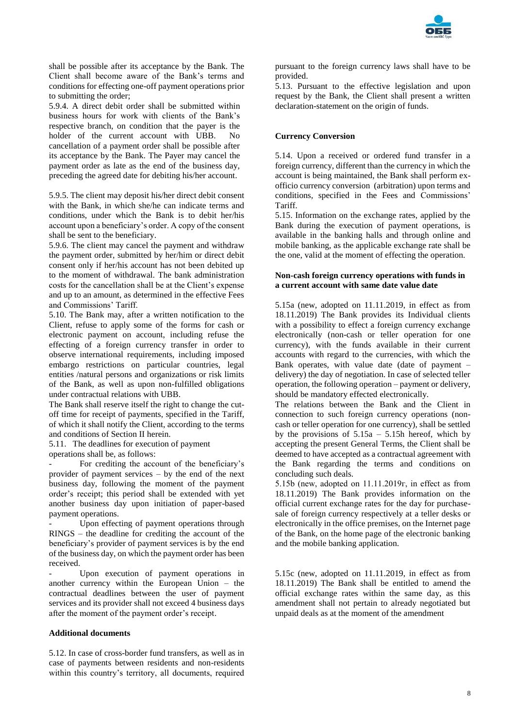

shall be possible after its acceptance by the Bank. The Client shall become aware of the Bank's terms and conditions for effecting one-off payment operations prior to submitting the order;

5.9.4. A direct debit order shall be submitted within business hours for work with clients of the Bank's respective branch, on condition that the payer is the holder of the current account with UBB. No cancellation of a payment order shall be possible after its acceptance by the Bank. The Payer may cancel the payment order as late as the end of the business day, preceding the agreed date for debiting his/her account.

5.9.5. The client may deposit his/her direct debit consent with the Bank, in which she/he can indicate terms and conditions, under which the Bank is to debit her/his account upon a beneficiary's order. A copy of the consent shall be sent to the beneficiary.

5.9.6. The client may cancel the payment and withdraw the payment order, submitted by her/him or direct debit consent only if her/his account has not been debited up to the moment of withdrawal. The bank administration costs for the cancellation shall be at the Client's expense and up to an amount, as determined in the effective Fees and Commissions' Tariff.

5.10. The Bank may, after a written notification to the Client, refuse to apply some of the forms for cash or electronic payment on account, including refuse the effecting of a foreign currency transfer in order to observe international requirements, including imposed embargo restrictions on particular countries, legal entities /natural persons and organizations or risk limits of the Bank, as well as upon non-fulfilled obligations under contractual relations with UBB.

The Bank shall reserve itself the right to change the cutoff time for receipt of payments, specified in the Tariff, of which it shall notify the Client, according to the terms and conditions of Section II herein.

5.11. The deadlines for execution of payment

operations shall be, as follows:

For crediting the account of the beneficiary's provider of payment services – by the end of the next business day, following the moment of the payment order's receipt; this period shall be extended with yet another business day upon initiation of paper-based payment operations.

Upon effecting of payment operations through RINGS – the deadline for crediting the account of the beneficiary's provider of payment services is by the end of the business day, on which the payment order has been received.

Upon execution of payment operations in another currency within the European Union – the contractual deadlines between the user of payment services and its provider shall not exceed 4 business days after the moment of the payment order's receipt.

#### **Additional documents**

5.12. In case of cross-border fund transfers, as well as in case of payments between residents and non-residents within this country's territory, all documents, required

pursuant to the foreign currency laws shall have to be provided.

5.13. Pursuant to the effective legislation and upon request by the Bank, the Client shall present a written declaration-statement on the origin of funds.

#### **Currency Conversion**

5.14. Upon a received or ordered fund transfer in a foreign currency, different than the currency in which the account is being maintained, the Bank shall perform exofficio currency conversion (arbitration) upon terms and conditions, specified in the Fees and Commissions' Tariff.

5.15. Information on the exchange rates, applied by the Bank during the execution of payment operations, is available in the banking halls and through online and mobile banking, as the applicable exchange rate shall be the one, valid at the moment of effecting the operation.

### **Non-cash foreign currency operations with funds in a current account with same date value date**

5.15a (new, adopted on 11.11.2019, in effect as from 18.11.2019) The Bank provides its Individual clients with a possibility to effect a foreign currency exchange electronically (non-cash or teller operation for one currency), with the funds available in their current accounts with regard to the currencies, with which the Bank operates, with value date (date of payment  $$ delivery) the day of negotiation. In case of selected teller operation, the following operation – payment or delivery, should be mandatory effected electronically.

The relations between the Bank and the Client in connection to such foreign currency operations (noncash or teller operation for one currency), shall be settled by the provisions of  $5.15a - 5.15h$  hereof, which by accepting the present General Terms, the Client shall be deemed to have accepted as a contractual agreement with the Bank regarding the terms and conditions on concluding such deals.

5.15b (new, adopted on 11.11.2019г, in effect as from 18.11.2019) The Bank provides information on the official current exchange rates for the day for purchasesale of foreign currency respectively at a teller desks or electronically in the office premises, on the Internet page of the Bank, on the home page of the electronic banking and the mobile banking application.

5.15c (new, adopted on 11.11.2019, in effect as from 18.11.2019) The Bank shall be entitled to amend the official exchange rates within the same day, as this amendment shall not pertain to already negotiated but unpaid deals as at the moment of the amendment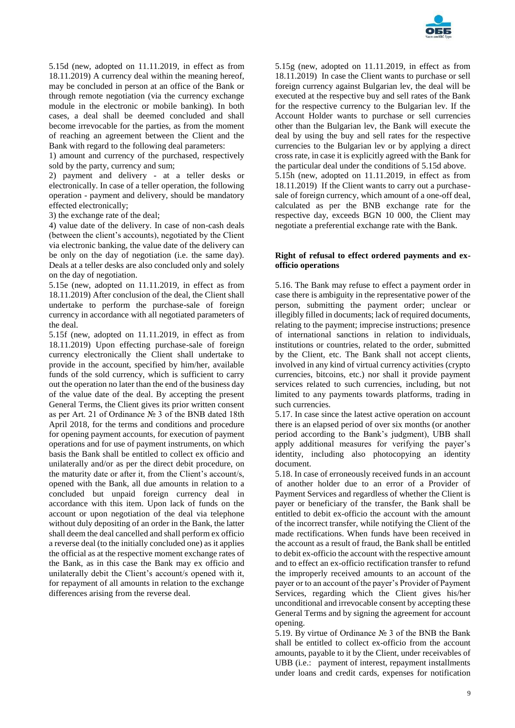

5.15d (new, adopted on 11.11.2019, in effect as from 18.11.2019) A currency deal within the meaning hereof, may be concluded in person at an office of the Bank or through remote negotiation (via the currency exchange module in the electronic or mobile banking). In both cases, a deal shall be deemed concluded and shall become irrevocable for the parties, as from the moment of reaching an agreement between the Client and the Bank with regard to the following deal parameters:

1) amount and currency of the purchased, respectively sold by the party, currency and sum;

2) payment and delivery - at a teller desks or electronically. In case of a teller operation, the following operation - payment and delivery, should be mandatory effected electronically;

3) the exchange rate of the deal;

4) value date of the delivery. In case of non-cash deals (between the client's accounts), negotiated by the Client via electronic banking, the value date of the delivery can be only on the day of negotiation (i.e. the same day). Deals at a teller desks are also concluded only and solely on the day of negotiation.

5.15e (new, adopted on 11.11.2019, in effect as from 18.11.2019) After conclusion of the deal, the Client shall undertake to perform the purchase-sale of foreign currency in accordance with all negotiated parameters of the deal.

5.15f (new, adopted on 11.11.2019, in effect as from 18.11.2019) Upon effecting purchase-sale of foreign currency electronically the Client shall undertake to provide in the account, specified by him/her, available funds of the sold currency, which is sufficient to carry out the operation no later than the end of the business day of the value date of the deal. By accepting the present General Terms, the Client gives its prior written consent as per Art. 21 of Ordinance № 3 of the BNB dated 18th April 2018, for the terms and conditions and procedure for opening payment accounts, for execution of payment operations and for use of payment instruments, on which basis the Bank shall be entitled to collect ex officio and unilaterally and/or as per the direct debit procedure, on the maturity date or after it, from the Client's account/s, opened with the Bank, all due amounts in relation to a concluded but unpaid foreign currency deal in accordance with this item. Upon lack of funds on the account or upon negotiation of the deal via telephone without duly depositing of an order in the Bank, the latter shall deem the deal cancelled and shall perform ex officio a reverse deal (to the initially concluded one) as it applies the official as at the respective moment exchange rates of the Bank, as in this case the Bank may ex officio and unilaterally debit the Client's account/s opened with it, for repayment of all amounts in relation to the exchange differences arising from the reverse deal.

5.15g (new, adopted on 11.11.2019, in effect as from 18.11.2019) In case the Client wants to purchase or sell foreign currency against Bulgarian lev, the deal will be executed at the respective buy and sell rates of the Bank for the respective currency to the Bulgarian lev. If the Account Holder wants to purchase or sell currencies other than the Bulgarian lev, the Bank will execute the deal by using the buy and sell rates for the respective currencies to the Bulgarian lev or by applying a direct cross rate, in case it is explicitly agreed with the Bank for the particular deal under the conditions of 5.15d above. 5.15h (new, adopted on 11.11.2019, in effect as from 18.11.2019) If the Client wants to carry out a purchasesale of foreign currency, which amount of a one-off deal, calculated as per the BNB exchange rate for the respective day, exceeds BGN 10 000, the Client may negotiate a preferential exchange rate with the Bank.

#### **Right of refusal to effect ordered payments and exofficio operations**

5.16. The Bank may refuse to effect a payment order in case there is ambiguity in the representative power of the person, submitting the payment order; unclear or illegibly filled in documents; lack of required documents, relating to the payment; imprecise instructions; presence of international sanctions in relation to individuals, institutions or countries, related to the order, submitted by the Client, etc. The Bank shall not accept clients, involved in any kind of virtual currency activities (crypto currencies, bitcoins, etc.) nor shall it provide payment services related to such currencies, including, but not limited to any payments towards platforms, trading in such currencies.

5.17. In case since the latest active operation on account there is an elapsed period of over six months (or another period according to the Bank's judgment), UBB shall apply additional measures for verifying the payer's identity, including also photocopying an identity document.

5.18. In case of erroneously received funds in an account of another holder due to an error of a Provider of Payment Services and regardless of whether the Client is payer or beneficiary of the transfer, the Bank shall be entitled to debit ex-officio the account with the amount of the incorrect transfer, while notifying the Client of the made rectifications. When funds have been received in the account as a result of fraud, the Bank shall be entitled to debit ex-officio the account with the respective amount and to effect an ex-officio rectification transfer to refund the improperly received amounts to an account of the payer or to an account of the payer's Provider of Payment Services, regarding which the Client gives his/her unconditional and irrevocable consent by accepting these General Terms and by signing the agreement for account opening.

5.19. By virtue of Ordinance № 3 of the BNB the Bank shall be entitled to collect ex-officio from the account amounts, payable to it by the Client, under receivables of UBB (i.e.: payment of interest, repayment installments under loans and credit cards, expenses for notification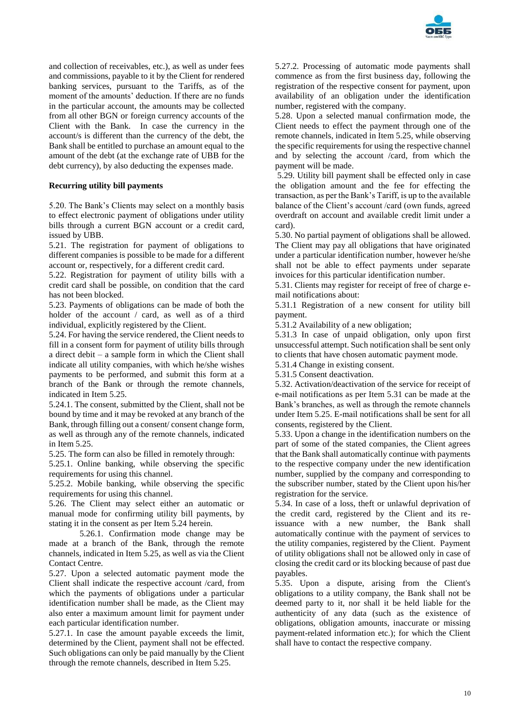

and collection of receivables, etc.), as well as under fees and commissions, payable to it by the Client for rendered banking services, pursuant to the Tariffs, as of the moment of the amounts' deduction. If there are no funds in the particular account, the amounts may be collected from all other BGN or foreign currency accounts of the Client with the Bank. In case the currency in the account/s is different than the currency of the debt, the Bank shall be entitled to purchase an amount equal to the amount of the debt (at the exchange rate of UBB for the debt currency), by also deducting the expenses made.

# **Recurring utility bill payments**

5.20. The Bank's Clients may select on a monthly basis to effect electronic payment of obligations under utility bills through a current BGN account or a credit card, issued by UBB.

5.21. The registration for payment of obligations to different companies is possible to be made for a different account or, respectively, for a different credit card.

5.22. Registration for payment of utility bills with a credit card shall be possible, on condition that the card has not been blocked.

5.23. Payments of obligations can be made of both the holder of the account / card, as well as of a third individual, explicitly registered by the Client.

5.24. For having the service rendered, the Client needs to fill in a consent form for payment of utility bills through a direct debit – a sample form in which the Client shall indicate all utility companies, with which he/she wishes payments to be performed, and submit this form at a branch of the Bank or through the remote channels, indicated in Item 5.25.

5.24.1. The consent, submitted by the Client, shall not be bound by time and it may be revoked at any branch of the Bank, through filling out a consent/ consent change form, as well as through any of the remote channels, indicated in Item 5.25.

5.25. The form can also be filled in remotely through:

5.25.1. Online banking, while observing the specific requirements for using this channel.

5.25.2. Mobile banking, while observing the specific requirements for using this channel.

5.26. The Client may select either an automatic or manual mode for confirming utility bill payments, by stating it in the consent as per Item 5.24 herein.

5.26.1. Confirmation mode change may be made at a branch of the Bank, through the remote channels, indicated in Item 5.25, as well as via the Client Contact Centre.

5.27. Upon a selected automatic payment mode the Client shall indicate the respective account /card, from which the payments of obligations under a particular identification number shall be made, as the Client may also enter a maximum amount limit for payment under each particular identification number.

5.27.1. In case the amount payable exceeds the limit, determined by the Client, payment shall not be effected. Such obligations can only be paid manually by the Client through the remote channels, described in Item 5.25.

5.27.2. Processing of automatic mode payments shall commence as from the first business day, following the registration of the respective consent for payment, upon availability of an obligation under the identification number, registered with the company.

5.28. Upon a selected manual confirmation mode, the Client needs to effect the payment through one of the remote channels, indicated in Item 5.25, while observing the specific requirements for using the respective channel and by selecting the account /card, from which the payment will be made.

5.29. Utility bill payment shall be effected only in case the obligation amount and the fee for effecting the transaction, as per the Bank's Tariff, is up to the available balance of the Client's account /card (own funds, agreed overdraft on account and available credit limit under a card).

5.30. No partial payment of obligations shall be allowed. The Client may pay all obligations that have originated under a particular identification number, however he/she shall not be able to effect payments under separate invoices for this particular identification number.

5.31. Clients may register for receipt of free of charge email notifications about:

5.31.1 Registration of a new consent for utility bill payment.

5.31.2 Availability of a new obligation;

5.31.3 In case of unpaid obligation, only upon first unsuccessful attempt. Such notification shall be sent only to clients that have chosen automatic payment mode.

5.31.4 Change in existing consent.

5.31.5 Consent deactivation.

5.32. Activation/deactivation of the service for receipt of e-mail notifications as per Item 5.31 can be made at the Bank's branches, as well as through the remote channels under Item 5.25. E-mail notifications shall be sent for all consents, registered by the Client.

5.33. Upon a change in the identification numbers on the part of some of the stated companies, the Client agrees that the Bank shall automatically continue with payments to the respective company under the new identification number, supplied by the company and corresponding to the subscriber number, stated by the Client upon his/her registration for the service.

5.34. In case of a loss, theft or unlawful deprivation of the credit card, registered by the Client and its reissuance with a new number, the Bank shall automatically continue with the payment of services to the utility companies, registered by the Client. Payment of utility obligations shall not be allowed only in case of closing the credit card or its blocking because of past due payables.

5.35. Upon a dispute, arising from the Client's obligations to a utility company, the Bank shall not be deemed party to it, nor shall it be held liable for the authenticity of any data (such as the existence of obligations, obligation amounts, inaccurate or missing payment-related information etc.); for which the Client shall have to contact the respective company.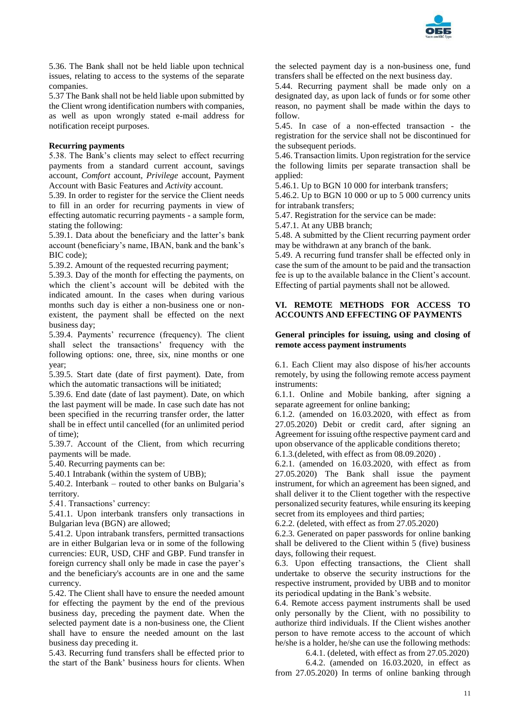

5.36. The Bank shall not be held liable upon technical issues, relating to access to the systems of the separate companies.

5.37 The Bank shall not be held liable upon submitted by the Client wrong identification numbers with companies, as well as upon wrongly stated e-mail address for notification receipt purposes.

### **Recurring payments**

5.38. The Bank's clients may select to effect recurring payments from a standard current account, savings account, *Comfort* account, *Privilege* account, Payment Account with Basic Features and *Activity* account.

5.39. In order to register for the service the Client needs to fill in an order for recurring payments in view of effecting automatic recurring payments - a sample form, stating the following:

5.39.1. Data about the beneficiary and the latter's bank account (beneficiary's name, IBAN, bank and the bank's BIC code);

5.39.2. Amount of the requested recurring payment;

5.39.3. Day of the month for effecting the payments, on which the client's account will be debited with the indicated amount. In the cases when during various months such day is either a non-business one or nonexistent, the payment shall be effected on the next business day;

5.39.4. Payments' recurrence (frequency). The client shall select the transactions' frequency with the following options: one, three, six, nine months or one year;

5.39.5. Start date (date of first payment). Date, from which the automatic transactions will be initiated:

5.39.6. End date (date of last payment). Date, on which the last payment will be made. In case such date has not been specified in the recurring transfer order, the latter shall be in effect until cancelled (for an unlimited period of time);

5.39.7. Account of the Client, from which recurring payments will be made.

5.40. Recurring payments can be:

5.40.1 Intrabank (within the system of UBB);

5.40.2. Interbank – routed to other banks on Bulgaria's territory.

5.41. Transactions' currency:

5.41.1. Upon interbank transfers only transactions in Bulgarian leva (BGN) are allowed;

5.41.2. Upon intrabank transfers, permitted transactions are in either Bulgarian leva or in some of the following currencies: EUR, USD, CHF and GBP. Fund transfer in foreign currency shall only be made in case the payer's and the beneficiary's accounts are in one and the same currency.

5.42. The Client shall have to ensure the needed amount for effecting the payment by the end of the previous business day, preceding the payment date. When the selected payment date is a non-business one, the Client shall have to ensure the needed amount on the last business day preceding it.

5.43. Recurring fund transfers shall be effected prior to the start of the Bank' business hours for clients. When the selected payment day is a non-business one, fund transfers shall be effected on the next business day.

5.44. Recurring payment shall be made only on a designated day, as upon lack of funds or for some other reason, no payment shall be made within the days to follow.

5.45. In case of a non-effected transaction - the registration for the service shall not be discontinued for the subsequent periods.

5.46. Transaction limits. Upon registration for the service the following limits per separate transaction shall be applied:

5.46.1. Up to BGN 10 000 for interbank transfers;

5.46.2. Up to BGN 10 000 or up to 5 000 currency units for intrabank transfers;

5.47. Registration for the service can be made:

5.47.1. At any UBB branch;

5.48. A submitted by the Client recurring payment order may be withdrawn at any branch of the bank.

5.49. A recurring fund transfer shall be effected only in case the sum of the amount to be paid and the transaction fee is up to the available balance in the Client's account. Effecting of partial payments shall not be allowed.

#### **VI. REMOTE METHODS FOR ACCESS TO ACCOUNTS AND EFFECTING OF PAYMENTS**

### **General principles for issuing, using and closing of remote access payment instruments**

6.1. Each Client may also dispose of his/her accounts remotely, by using the following remote access payment instruments:

6.1.1. Online and Mobile banking, after signing a separate agreement for online banking;

6.1.2. (amended on 16.03.2020, with effect as from 27.05.2020) Debit or credit card, after signing an Agreement for issuing ofthe respective payment card and upon observance of the applicable conditions thereto;

6.1.3.(deleted, with effect as from 08.09.2020) .

6.2.1. (amended on 16.03.2020, with effect as from 27.05.2020) The Bank shall issue the payment instrument, for which an agreement has been signed, and shall deliver it to the Client together with the respective personalized security features, while ensuring its keeping secret from its employees and third parties;

6.2.2. (deleted, with effect as from 27.05.2020)

6.2.3. Generated on paper passwords for online banking shall be delivered to the Client within 5 (five) business days, following their request.

6.3. Upon effecting transactions, the Client shall undertake to observe the security instructions for the respective instrument, provided by UBB and to monitor its periodical updating in the Bank's website.

6.4. Remote access payment instruments shall be used only personally by the Client, with no possibility to authorize third individuals. If the Client wishes another person to have remote access to the account of which he/she is a holder, he/she can use the following methods:

6.4.1. (deleted, with effect as from 27.05.2020)

6.4.2. (amended on 16.03.2020, in effect as from 27.05.2020) In terms of online banking through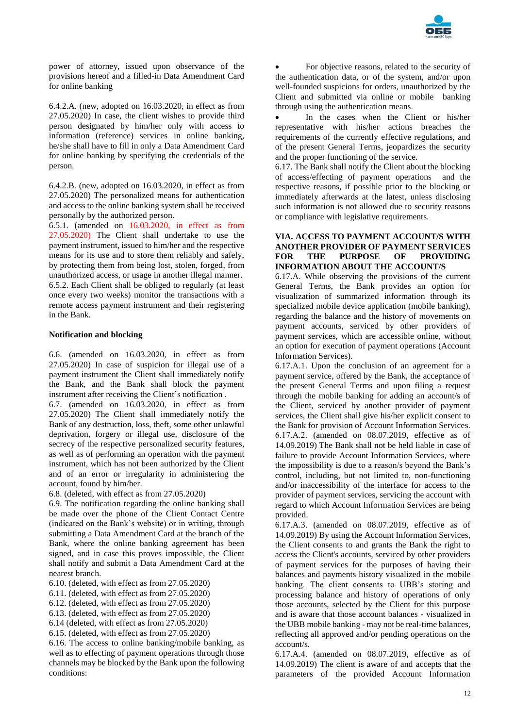

power of attorney, issued upon observance of the provisions hereof and a filled-in Data Amendment Card for online banking

6.4.2.A. (new, adopted on 16.03.2020, in effect as from 27.05.2020) In case, the client wishes to provide third person designated by him/her only with access to information (reference) services in online banking, he/she shall have to fill in only a Data Amendment Card for online banking by specifying the credentials of the person.

6.4.2.B. (new, adopted on 16.03.2020, in effect as from 27.05.2020) The personalized means for authentication and access to the online banking system shall be received personally by the authorized person.

6.5.1. (amended on 16.03.2020, in effect as from 27.05.2020) The Client shall undertake to use the payment instrument, issued to him/her and the respective means for its use and to store them reliably and safely, by protecting them from being lost, stolen, forged, from unauthorized access, or usage in another illegal manner. 6.5.2. Each Client shall be obliged to regularly (at least once every two weeks) monitor the transactions with a remote access payment instrument and their registering in the Bank.

### **Notification and blocking**

6.6. (amended on 16.03.2020, in effect as from 27.05.2020) In case of suspicion for illegal use of a payment instrument the Client shall immediately notify the Bank, and the Bank shall block the payment instrument after receiving the Client's notification .

6.7. (amended on 16.03.2020, in effect as from 27.05.2020) The Client shall immediately notify the Bank of any destruction, loss, theft, some other unlawful deprivation, forgery or illegal use, disclosure of the secrecy of the respective personalized security features, as well as of performing an operation with the payment instrument, which has not been authorized by the Client and of an error or irregularity in administering the account, found by him/her.

6.8. (deleted, with effect as from 27.05.2020)

6.9. The notification regarding the online banking shall be made over the phone of the Client Contact Centre (indicated on the Bank's website) or in writing, through submitting a Data Amendment Card at the branch of the Bank, where the online banking agreement has been signed, and in case this proves impossible, the Client shall notify and submit a Data Amendment Card at the nearest branch.

- 6.10. (deleted, with effect as from 27.05.2020)
- 6.11. (deleted, with effect as from 27.05.2020)
- 6.12. (deleted, with effect as from 27.05.2020)
- 6.13. (deleted, with effect as from 27.05.2020)
- 6.14 (deleted, with effect as from 27.05.2020)
- 6.15. (deleted, with effect as from 27.05.2020)

6.16. The access to online banking/mobile banking, as well as to effecting of payment operations through those channels may be blocked by the Bank upon the following conditions:

 For objective reasons, related to the security of the authentication data, or of the system, and/or upon well-founded suspicions for orders, unauthorized by the Client and submitted via online or mobile banking through using the authentication means.

 In the cases when the Client or his/her representative with his/her actions breaches the requirements of the currently effective regulations, and of the present General Terms, jeopardizes the security and the proper functioning of the service.

6.17. The Bank shall notify the Client about the blocking of access/effecting of payment operations and the respective reasons, if possible prior to the blocking or immediately afterwards at the latest, unless disclosing such information is not allowed due to security reasons or compliance with legislative requirements.

### **VIA. ACCESS TO PAYMENT ACCOUNT/S WITH ANOTHER PROVIDER OF PAYMENT SERVICES FOR THE PURPOSE OF PROVIDING INFORMATION ABOUT THE ACCOUNT/S**

6.17.A. While observing the provisions of the current General Terms, the Bank provides an option for visualization of summarized information through its specialized mobile device application (mobile banking), regarding the balance and the history of movements on payment accounts, serviced by other providers of payment services, which are accessible online, without an option for execution of payment operations (Account Information Services).

6.17.A.1. Upon the conclusion of an agreement for a payment service, offered by the Bank, the acceptance of the present General Terms and upon filing a request through the mobile banking for adding an account/s of the Client, serviced by another provider of payment services, the Client shall give his/her explicit consent to the Bank for provision of Account Information Services. 6.17.А.2. (amended on 08.07.2019, effective as of 14.09.2019) The Bank shall not be held liable in case of failure to provide Account Information Services, where the impossibility is due to a reason/s beyond the Bank's control, including, but not limited to, non-functioning and/or inaccessibility of the interface for access to the provider of payment services, servicing the account with regard to which Account Information Services are being provided.

6.17.A.3. (amended on 08.07.2019, effective as of 14.09.2019) By using the Account Information Services, the Client consents to and grants the Bank the right to access the Client's accounts, serviced by other providers of payment services for the purposes of having their balances and payments history visualized in the mobile banking. The client consents to UBB's storing and processing balance and history of operations of only those accounts, selected by the Client for this purpose and is aware that those account balances - visualized in the UBB mobile banking - may not be real-time balances, reflecting all approved and/or pending operations on the account/s.

6.17.A.4. (amended on 08.07.2019, effective as of 14.09.2019) The client is aware of and accepts that the parameters of the provided Account Information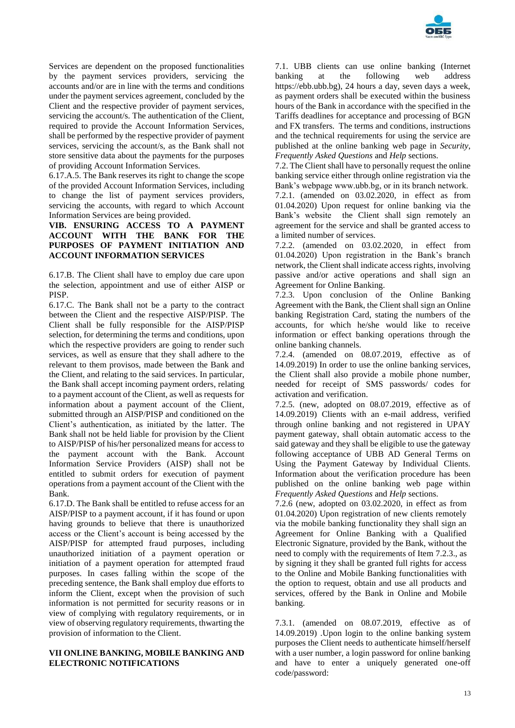

Services are dependent on the proposed functionalities by the payment services providers, servicing the accounts and/or are in line with the terms and conditions under the payment services agreement, concluded by the Client and the respective provider of payment services, servicing the account/s. The authentication of the Client, required to provide the Account Information Services, shall be performed by the respective provider of payment services, servicing the account/s, as the Bank shall not store sensitive data about the payments for the purposes of providing Account Information Services.

6.17.A.5. The Bank reserves its right to change the scope of the provided Account Information Services, including to change the list of payment services providers, servicing the accounts, with regard to which Account Information Services are being provided.

# **VIB. ENSURING ACCESS TO A PAYMENT ACCOUNT WITH THE BANK FOR THE PURPOSES OF PAYMENT INITIATION AND ACCOUNT INFORMATION SERVICES**

6.17.B. The Client shall have to employ due care upon the selection, appointment and use of either AISP or PISP.

6.17.C. The Bank shall not be a party to the contract between the Client and the respective AISP/PISP. The Client shall be fully responsible for the AISP/PISP selection, for determining the terms and conditions, upon which the respective providers are going to render such services, as well as ensure that they shall adhere to the relevant to them provisos, made between the Bank and the Client, and relating to the said services. In particular, the Bank shall accept incoming payment orders, relating to a payment account of the Client, as well as requests for information about a payment account of the Client, submitted through an AISP/PISP and conditioned on the Client's authentication, as initiated by the latter. The Bank shall not be held liable for provision by the Client to AISP/PISP of his/her personalized means for access to the payment account with the Bank. Account Information Service Providers (AISP) shall not be entitled to submit orders for execution of payment operations from a payment account of the Client with the Bank.

6.17.D. The Bank shall be entitled to refuse access for an AISP/PISP to a payment account, if it has found or upon having grounds to believe that there is unauthorized access or the Client's account is being accessed by the AISP/PISP for attempted fraud purposes, including unauthorized initiation of a payment operation or initiation of a payment operation for attempted fraud purposes. In cases falling within the scope of the preceding sentence, the Bank shall employ due efforts to inform the Client, except when the provision of such information is not permitted for security reasons or in view of complying with regulatory requirements, or in view of observing regulatory requirements, thwarting the provision of information to the Client.

# **VII ONLINE BANKING, MOBILE BANKING AND ELECTRONIC NOTIFICATIONS**

7.1. UBB clients can use online banking (Internet banking at the following web address https://ebb.ubb.bg), 24 hours a day, seven days a week, as payment orders shall be executed within the business hours of the Bank in accordance with the specified in the Tariffs deadlines for acceptance and processing of BGN and FX transfers. The terms and conditions, instructions and the technical requirements for using the service are published at the online banking web page in *Security*, *Frequently Asked Questions* and *Help* sections.

7.2. The Client shall have to personally request the online banking service either through online registration via the Bank's webpage www.ubb.bg, or in its branch network. 7.2.1. (amended on 03.02.2020, in effect as from 01.04.2020) Upon request for online banking via the Bank's website the Client shall sign remotely an agreement for the service and shall be granted access to a limited number of services.

7.2.2. (amended on 03.02.2020, in effect from 01.04.2020) Upon registration in the Bank's branch network, the Client shall indicate access rights, involving passive and/or active operations and shall sign an Agreement for Online Banking.

7.2.3. Upon conclusion of the Online Banking Agreement with the Bank, the Client shall sign an Online banking Registration Card, stating the numbers of the accounts, for which he/she would like to receive information or effect banking operations through the online banking channels.

7.2.4. (amended on 08.07.2019, effective as of 14.09.2019) In order to use the online banking services, the Client shall also provide a mobile phone number, needed for receipt of SMS passwords/ codes for activation and verification.

7.2.5. (new, adopted on 08.07.2019, effective as of 14.09.2019) Clients with an e-mail address, verified through online banking and not registered in UPAY payment gateway, shall obtain automatic access to the said gateway and they shall be eligible to use the gateway following acceptance of UBB AD General Terms on Using the Payment Gateway by Individual Clients. Information about the verification procedure has been published on the online banking web page within *Frequently Asked Questions* and *Help* sections.

7.2.6 (new, adopted on 03.02.2020, in effect as from 01.04.2020) Upon registration of new clients remotely via the mobile banking functionality they shall sign an Agreement for Online Banking with a Qualified Electronic Signature, provided by the Bank, without the need to comply with the requirements of Item 7.2.3., as by signing it they shall be granted full rights for access to the Online and Mobile Banking functionalities with the option to request, obtain and use all products and services, offered by the Bank in Online and Mobile banking.

7.3.1. (amended on 08.07.2019, effective as of 14.09.2019) .Upon login to the online banking system purposes the Client needs to authenticate himself/herself with a user number, a login password for online banking and have to enter a uniquely generated one-off code/password: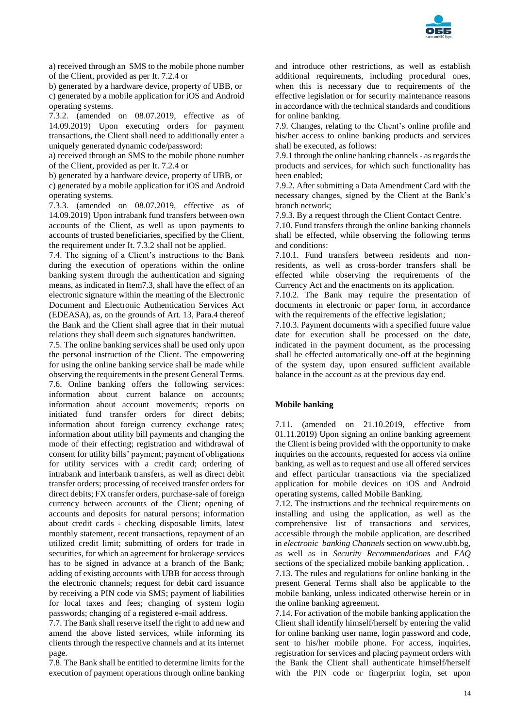

a) received through an SMS to the mobile phone number of the Client, provided as per It. 7.2.4 or

b) generated by a hardware device, property of UBB, or c) generated by a mobile application for iOS and Android operating systems.

7.3.2. (amended on 08.07.2019, effective as of 14.09.2019) Upon executing orders for payment transactions, the Client shall need to additionally enter a uniquely generated dynamic code/password:

a) received through an SMS to the mobile phone number of the Client, provided as per It. 7.2.4 or

b) generated by a hardware device, property of UBB, or c) generated by a mobile application for iOS and Android operating systems.

7.3.3. (amended on 08.07.2019, effective as of 14.09.2019) Upon intrabank fund transfers between own accounts of the Client, as well as upon payments to accounts of trusted beneficiaries, specified by the Client, the requirement under It. 7.3.2 shall not be applied.

7.4. The signing of a Client's instructions to the Bank during the execution of operations within the online banking system through the authentication and signing means, as indicated in Item7.3, shall have the effect of an electronic signature within the meaning of the Electronic Document and Electronic Authentication Services Act (EDEASA), as, on the grounds of Art. 13, Para.4 thereof the Bank and the Client shall agree that in their mutual relations they shall deem such signatures handwritten.

7.5. The online banking services shall be used only upon the personal instruction of the Client. The empowering for using the online banking service shall be made while observing the requirements in the present General Terms. 7.6. Online banking offers the following services: information about current balance on accounts; information about account movements; reports on initiated fund transfer orders for direct debits; information about foreign currency exchange rates; information about utility bill payments and changing the mode of their effecting; registration and withdrawal of consent for utility bills' payment; payment of obligations for utility services with a credit card; ordering of intrabank and interbank transfers, as well as direct debit transfer orders; processing of received transfer orders for direct debits; FX transfer orders, purchase-sale of foreign currency between accounts of the Client; opening of accounts and deposits for natural persons; information about credit cards - checking disposable limits, latest monthly statement, recent transactions, repayment of an utilized credit limit; submitting of orders for trade in securities, for which an agreement for brokerage services has to be signed in advance at a branch of the Bank; adding of existing accounts with UBB for access through the electronic channels; request for debit card issuance by receiving a PIN code via SMS; payment of liabilities for local taxes and fees; changing of system login passwords; changing of a registered e-mail address.

7.7. The Bank shall reserve itself the right to add new and amend the above listed services, while informing its clients through the respective channels and at its internet page.

7.8. The Bank shall be entitled to determine limits for the execution of payment operations through online banking and introduce other restrictions, as well as establish additional requirements, including procedural ones, when this is necessary due to requirements of the effective legislation or for security maintenance reasons in accordance with the technical standards and conditions for online banking.

7.9. Changes, relating to the Client's online profile and his/her access to online banking products and services shall be executed, as follows:

7.9.1 through the online banking channels - as regards the products and services, for which such functionality has been enabled;

7.9.2. After submitting a Data Amendment Card with the necessary changes, signed by the Client at the Bank's branch network;

7.9.3. By a request through the Client Contact Centre.

7.10. Fund transfers through the online banking channels shall be effected, while observing the following terms and conditions:

7.10.1. Fund transfers between residents and nonresidents, as well as cross-border transfers shall be effected while observing the requirements of the Currency Act and the enactments on its application.

7.10.2. The Bank may require the presentation of documents in electronic or paper form, in accordance with the requirements of the effective legislation;

7.10.3. Payment documents with a specified future value date for execution shall be processed on the date, indicated in the payment document, as the processing shall be effected automatically one-off at the beginning of the system day, upon ensured sufficient available balance in the account as at the previous day end.

# **Mobile banking**

7.11. (amended on 21.10.2019, effective from 01.11.2019) Upon signing an online banking agreement the Client is being provided with the opportunity to make inquiries on the accounts, requested for access via online banking, as well as to request and use all offered services and effect particular transactions via the specialized application for mobile devices on iOS and Android operating systems, called Mobile Banking.

7.12. The instructions and the technical requirements on installing and using the application, as well as the comprehensive list of transactions and services, accessible through the mobile application, are described in *electronic banking Channels* section on www.ubb.bg, as well as in *Security Recommendations* and *FAQ* sections of the specialized mobile banking application. .

7.13. The rules and regulations for online banking in the present General Terms shall also be applicable to the mobile banking, unless indicated otherwise herein or in the online banking agreement.

7.14. For activation of the mobile banking application the Client shall identify himself/herself by entering the valid for online banking user name, login password and code, sent to his/her mobile phone. For access, inquiries, registration for services and placing payment orders with the Bank the Client shall authenticate himself/herself with the PIN code or fingerprint login, set upon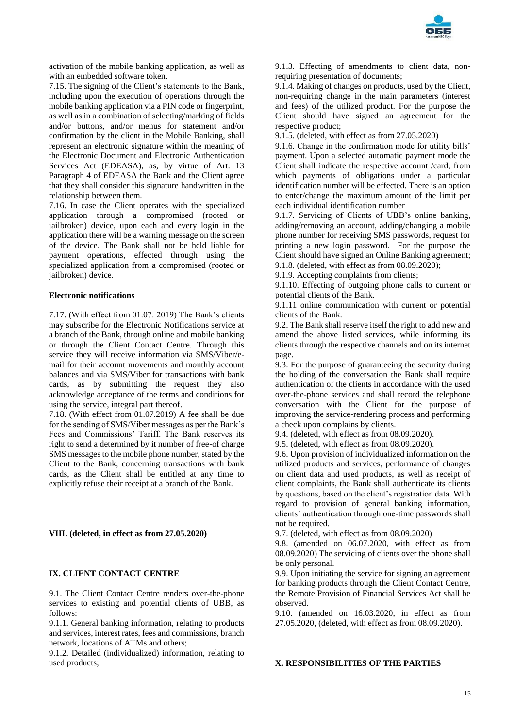

activation of the mobile banking application, as well as with an embedded software token.

7.15. The signing of the Client's statements to the Bank, including upon the execution of operations through the mobile banking application via a PIN code or fingerprint, as well as in a combination of selecting/marking of fields and/or buttons, and/or menus for statement and/or confirmation by the client in the Mobile Banking, shall represent an electronic signature within the meaning of the Electronic Document and Electronic Authentication Services Act (EDEASA), as, by virtue of Art. 13 Paragraph 4 of EDEASA the Bank and the Client agree that they shall consider this signature handwritten in the relationship between them.

7.16. In case the Client operates with the specialized application through a compromised (rooted or jailbroken) device, upon each and every login in the application there will be a warning message on the screen of the device. The Bank shall not be held liable for payment operations, effected through using the specialized application from a compromised (rooted or jailbroken) device.

#### **Electronic notifications**

7.17. (With effect from 01.07. 2019) The Bank's clients may subscribe for the Electronic Notifications service at a branch of the Bank, through online and mobile banking or through the Client Contact Centre. Through this service they will receive information via SMS/Viber/email for their account movements and monthly account balances and via SMS/Viber for transactions with bank cards, as by submitting the request they also acknowledge acceptance of the terms and conditions for using the service, integral part thereof.

7.18. (With effect from 01.07.2019) A fee shall be due for the sending of SMS/Viber messages as per the Bank's Fees and Commissions' Tariff. The Bank reserves its right to send a determined by it number of free-of charge SMS messages to the mobile phone number, stated by the Client to the Bank, concerning transactions with bank cards, as the Client shall be entitled at any time to explicitly refuse their receipt at a branch of the Bank.

### **VIII. (deleted, in effect as from 27.05.2020)**

### **IX. CLIENT CONTACT CENTRE**

9.1. The Client Contact Centre renders over-the-phone services to existing and potential clients of UBB, as follows:

9.1.1. General banking information, relating to products and services, interest rates, fees and commissions, branch network, locations of ATMs and others;

9.1.2. Detailed (individualized) information, relating to used products;

9.1.3. Effecting of amendments to client data, nonrequiring presentation of documents;

9.1.4. Making of changes on products, used by the Client, non-requiring change in the main parameters (interest and fees) of the utilized product. For the purpose the Client should have signed an agreement for the respective product;

9.1.5. (deleted, with effect as from 27.05.2020)

9.1.6. Change in the confirmation mode for utility bills' payment. Upon a selected automatic payment mode the Client shall indicate the respective account /card, from which payments of obligations under a particular identification number will be effected. There is an option to enter/change the maximum amount of the limit per each individual identification number

9.1.7. Servicing of Clients of UBB's online banking, adding/removing an account, adding/changing a mobile phone number for receiving SMS passwords, request for printing a new login password. For the purpose the Client should have signed an Online Banking agreement; 9.1.8. (deleted, with effect as from 08.09.2020);

9.1.9. Accepting complaints from clients;

9.1.10. Effecting of outgoing phone calls to current or potential clients of the Bank.

9.1.11 online communication with current or potential clients of the Bank.

9.2. The Bank shall reserve itself the right to add new and amend the above listed services, while informing its clients through the respective channels and on its internet page.

9.3. For the purpose of guaranteeing the security during the holding of the conversation the Bank shall require authentication of the clients in accordance with the used over-the-phone services and shall record the telephone conversation with the Client for the purpose of improving the service-rendering process and performing a check upon complains by clients.

9.4. (deleted, with effect as from 08.09.2020).

9.5. (deleted, with effect as from 08.09.2020).

9.6. Upon provision of individualized information on the utilized products and services, performance of changes on client data and used products, as well as receipt of client complaints, the Bank shall authenticate its clients by questions, based on the client's registration data. With regard to provision of general banking information, clients' authentication through one-time passwords shall not be required.

9.7. (deleted, with effect as from 08.09.2020)

9.8. (amended on 06.07.2020, with effect as from 08.09.2020) The servicing of clients over the phone shall be only personal.

9.9. Upon initiating the service for signing an agreement for banking products through the Client Contact Centre, the Remote Provision of Financial Services Act shall be observed.

9.10. (amended on 16.03.2020, in effect as from 27.05.2020, (deleted, with effect as from 08.09.2020).

#### **X. RESPONSIBILITIES OF THE PARTIES**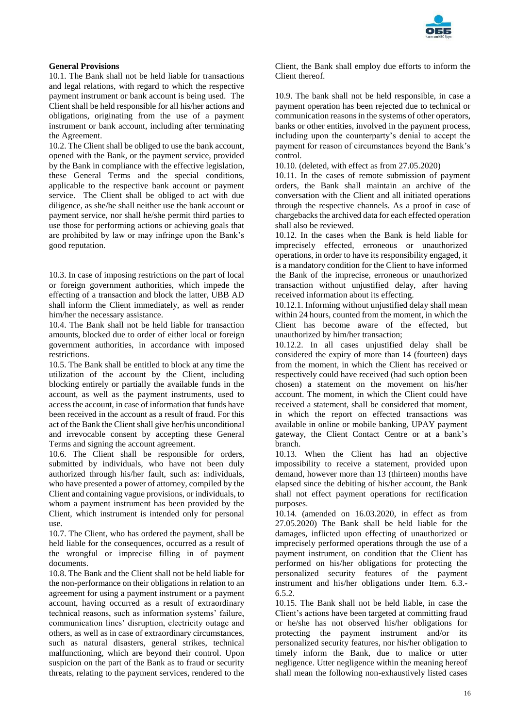

# **General Provisions**

10.1. The Bank shall not be held liable for transactions and legal relations, with regard to which the respective payment instrument or bank account is being used. The Client shall be held responsible for all his/her actions and obligations, originating from the use of a payment instrument or bank account, including after terminating the Agreement.

10.2. The Client shall be obliged to use the bank account, opened with the Bank, or the payment service, provided by the Bank in compliance with the effective legislation, these General Terms and the special conditions, applicable to the respective bank account or payment service. The Client shall be obliged to act with due diligence, as she/he shall neither use the bank account or payment service, nor shall he/she permit third parties to use those for performing actions or achieving goals that are prohibited by law or may infringe upon the Bank's good reputation.

10.3. In case of imposing restrictions on the part of local or foreign government authorities, which impede the effecting of a transaction and block the latter, UBB AD shall inform the Client immediately, as well as render him/her the necessary assistance.

10.4. The Bank shall not be held liable for transaction amounts, blocked due to order of either local or foreign government authorities, in accordance with imposed restrictions.

10.5. The Bank shall be entitled to block at any time the utilization of the account by the Client, including blocking entirely or partially the available funds in the account, as well as the payment instruments, used to access the account, in case of information that funds have been received in the account as a result of fraud. For this act of the Bank the Client shall give her/his unconditional and irrevocable consent by accepting these General Terms and signing the account agreement.

10.6. The Client shall be responsible for orders, submitted by individuals, who have not been duly authorized through his/her fault, such as: individuals, who have presented a power of attorney, compiled by the Client and containing vague provisions, or individuals, to whom a payment instrument has been provided by the Client, which instrument is intended only for personal use.

10.7. The Client, who has ordered the payment, shall be held liable for the consequences, occurred as a result of the wrongful or imprecise filling in of payment documents.

10.8. The Bank and the Client shall not be held liable for the non-performance on their obligations in relation to an agreement for using a payment instrument or a payment account, having occurred as a result of extraordinary technical reasons, such as information systems' failure, communication lines' disruption, electricity outage and others, as well as in case of extraordinary circumstances, such as natural disasters, general strikes, technical malfunctioning, which are beyond their control. Upon suspicion on the part of the Bank as to fraud or security threats, relating to the payment services, rendered to the

Client, the Bank shall employ due efforts to inform the Client thereof.

10.9. The bank shall not be held responsible, in case a payment operation has been rejected due to technical or communication reasons in the systems of other operators, banks or other entities, involved in the payment process, including upon the counterparty's denial to accept the payment for reason of circumstances beyond the Bank's control.

10.10. (deleted, with effect as from 27.05.2020)

10.11. In the cases of remote submission of payment orders, the Bank shall maintain an archive of the conversation with the Client and all initiated operations through the respective channels. As a proof in case of chargebacks the archived data for each effected operation shall also be reviewed.

10.12. In the cases when the Bank is held liable for imprecisely effected, erroneous or unauthorized operations, in order to have its responsibility engaged, it is a mandatory condition for the Client to have informed the Bank of the imprecise, erroneous or unauthorized transaction without unjustified delay, after having received information about its effecting.

10.12.1. Informing without unjustified delay shall mean within 24 hours, counted from the moment, in which the Client has become aware of the effected, but unauthorized by him/her transaction;

10.12.2. In all cases unjustified delay shall be considered the expiry of more than 14 (fourteen) days from the moment, in which the Client has received or respectively could have received (had such option been chosen) a statement on the movement on his/her account. The moment, in which the Client could have received a statement, shall be considered that moment, in which the report on effected transactions was available in online or mobile banking, UPAY payment gateway, the Client Contact Centre or at a bank's branch.

10.13. When the Client has had an objective impossibility to receive a statement, provided upon demand, however more than 13 (thirteen) months have elapsed since the debiting of his/her account, the Bank shall not effect payment operations for rectification purposes.

10.14. (amended on 16.03.2020, in effect as from 27.05.2020) The Bank shall be held liable for the damages, inflicted upon effecting of unauthorized or imprecisely performed operations through the use of a payment instrument, on condition that the Client has performed on his/her obligations for protecting the personalized security features of the payment instrument and his/her obligations under Item. 6.3.- 6.5.2.

10.15. The Bank shall not be held liable, in case the Client's actions have been targeted at committing fraud or he/she has not observed his/her obligations for protecting the payment instrument and/or its personalized security features, nor his/her obligation to timely inform the Bank, due to malice or utter negligence. Utter negligence within the meaning hereof shall mean the following non-exhaustively listed cases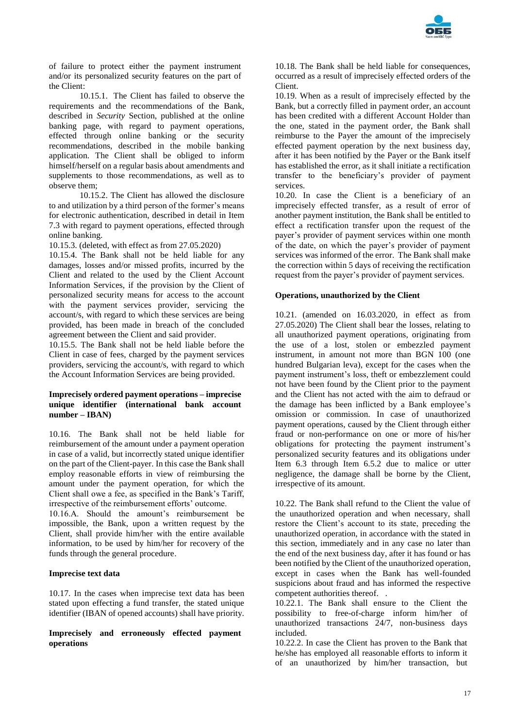

of failure to protect either the payment instrument and/or its personalized security features on the part of the Client:

10.15.1. The Client has failed to observe the requirements and the recommendations of the Bank, described in *Security* Section, published at the online banking page, with regard to payment operations, effected through online banking or the security recommendations, described in the mobile banking application. The Client shall be obliged to inform himself/herself on a regular basis about amendments and supplements to those recommendations, as well as to observe them;

10.15.2. The Client has allowed the disclosure to and utilization by a third person of the former's means for electronic authentication, described in detail in Item 7.3 with regard to payment operations, effected through online banking.

10.15.3. (deleted, with effect as from 27.05.2020)

10.15.4. The Bank shall not be held liable for any damages, losses and/or missed profits, incurred by the Client and related to the used by the Client Account Information Services, if the provision by the Client of personalized security means for access to the account with the payment services provider, servicing the account/s, with regard to which these services are being provided, has been made in breach of the concluded agreement between the Client and said provider.

10.15.5. The Bank shall not be held liable before the Client in case of fees, charged by the payment services providers, servicing the account/s, with regard to which the Account Information Services are being provided.

### **Imprecisely ordered payment operations – imprecise unique identifier (international bank account number – IBAN)**

10.16. The Bank shall not be held liable for reimbursement of the amount under a payment operation in case of a valid, but incorrectly stated unique identifier on the part of the Client-payer. In this case the Bank shall employ reasonable efforts in view of reimbursing the amount under the payment operation, for which the Client shall owe a fee, as specified in the Bank's Tariff, irrespective of the reimbursement efforts' outcome.

10.16.А. Should the amount's reimbursement be impossible, the Bank, upon a written request by the Client, shall provide him/her with the entire available information, to be used by him/her for recovery of the funds through the general procedure.

# **Imprecise text data**

10.17. In the cases when imprecise text data has been stated upon effecting a fund transfer, the stated unique identifier (IBAN of opened accounts) shall have priority.

### **Imprecisely and erroneously effected payment operations**

10.18. The Bank shall be held liable for consequences, occurred as a result of imprecisely effected orders of the Client.

10.19. When as a result of imprecisely effected by the Bank, but a correctly filled in payment order, an account has been credited with a different Account Holder than the one, stated in the payment order, the Bank shall reimburse to the Payer the amount of the imprecisely effected payment operation by the next business day, after it has been notified by the Payer or the Bank itself has established the error, as it shall initiate a rectification transfer to the beneficiary's provider of payment services.

10.20. In case the Client is a beneficiary of an imprecisely effected transfer, as a result of error of another payment institution, the Bank shall be entitled to effect a rectification transfer upon the request of the payer's provider of payment services within one month of the date, on which the payer's provider of payment services was informed of the error. The Bank shall make the correction within 5 days of receiving the rectification request from the payer's provider of payment services.

### **Operations, unauthorized by the Client**

10.21. (amended on 16.03.2020, in effect as from 27.05.2020) The Client shall bear the losses, relating to all unauthorized payment operations, originating from the use of a lost, stolen or embezzled payment instrument, in amount not more than BGN 100 (one hundred Bulgarian leva), except for the cases when the payment instrument's loss, theft or embezzlement could not have been found by the Client prior to the payment and the Client has not acted with the aim to defraud or the damage has been inflicted by a Bank employee's omission or commission. In case of unauthorized payment operations, caused by the Client through either fraud or non-performance on one or more of his/her obligations for protecting the payment instrument's personalized security features and its obligations under Item 6.3 through Item 6.5.2 due to malice or utter negligence, the damage shall be borne by the Client, irrespective of its amount.

10.22. The Bank shall refund to the Client the value of the unauthorized operation and when necessary, shall restore the Client's account to its state, preceding the unauthorized operation, in accordance with the stated in this section, immediately and in any case no later than the end of the next business day, after it has found or has been notified by the Client of the unauthorized operation, except in cases when the Bank has well-founded suspicions about fraud and has informed the respective competent authorities thereof. .

10.22.1. The Bank shall ensure to the Client the possibility to free-of-charge inform him/her of unauthorized transactions 24/7, non-business days included.

10.22.2. In case the Client has proven to the Bank that he/she has employed all reasonable efforts to inform it of an unauthorized by him/her transaction, but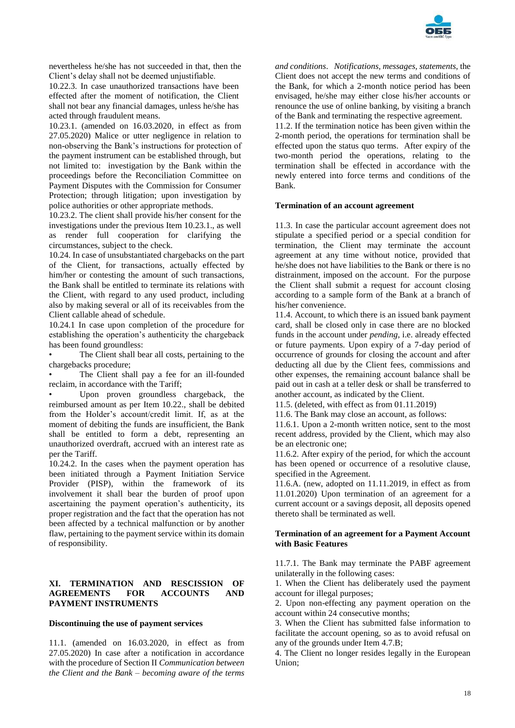

nevertheless he/she has not succeeded in that, then the Client's delay shall not be deemed unjustifiable.

10.22.3. In case unauthorized transactions have been effected after the moment of notification, the Client shall not bear any financial damages, unless he/she has acted through fraudulent means.

10.23.1. (amended on 16.03.2020, in effect as from 27.05.2020) Malice or utter negligence in relation to non-observing the Bank's instructions for protection of the payment instrument can be established through, but not limited to: investigation by the Bank within the proceedings before the Reconciliation Committee on Payment Disputes with the Commission for Consumer Protection; through litigation; upon investigation by police authorities or other appropriate methods.

10.23.2. The client shall provide his/her consent for the investigations under the previous Item 10.23.1., as well as render full cooperation for clarifying the circumstances, subject to the check.

10.24. In case of unsubstantiated chargebacks on the part of the Client, for transactions, actually effected by him/her or contesting the amount of such transactions, the Bank shall be entitled to terminate its relations with the Client, with regard to any used product, including also by making several or all of its receivables from the Client callable ahead of schedule.

10.24.1 In case upon completion of the procedure for establishing the operation's authenticity the chargeback has been found groundless:

The Client shall bear all costs, pertaining to the chargebacks procedure;

The Client shall pay a fee for an ill-founded reclaim, in accordance with the Tariff;

Upon proven groundless chargeback, the reimbursed amount as per Item 10.22., shall be debited from the Holder's account/credit limit. If, as at the moment of debiting the funds are insufficient, the Bank shall be entitled to form a debt, representing an unauthorized overdraft, accrued with an interest rate as per the Tariff.

10.24.2. In the cases when the payment operation has been initiated through a Payment Initiation Service Provider (PISP), within the framework of its involvement it shall bear the burden of proof upon ascertaining the payment operation's authenticity, its proper registration and the fact that the operation has not been affected by a technical malfunction or by another flaw, pertaining to the payment service within its domain of responsibility.

### **XI. TERMINATION AND RESCISSION OF AGREEMENTS FOR ACCOUNTS AND PAYMENT INSTRUMENTS**

#### **Discontinuing the use of payment services**

11.1. (amended on 16.03.2020, in effect as from 27.05.2020) In case after a notification in accordance with the procedure of Section II *Communication between the Client and the Bank – becoming aware of the terms*  *and conditions*. *Notifications, messages, statements*, the Client does not accept the new terms and conditions of the Bank, for which a 2-month notice period has been envisaged, he/she may either close his/her accounts or renounce the use of online banking, by visiting a branch of the Bank and terminating the respective agreement.

11.2. If the termination notice has been given within the 2-month period, the operations for termination shall be effected upon the status quo terms. After expiry of the two-month period the operations, relating to the termination shall be effected in accordance with the newly entered into force terms and conditions of the Bank.

#### **Termination of an account agreement**

11.3. In case the particular account agreement does not stipulate a specified period or a special condition for termination, the Client may terminate the account agreement at any time without notice, provided that he/she does not have liabilities to the Bank or there is no distrainment, imposed on the account. For the purpose the Client shall submit a request for account closing according to a sample form of the Bank at a branch of his/her convenience.

11.4. Account, to which there is an issued bank payment card, shall be closed only in case there are no blocked funds in the account under *pending*, i.e. already effected or future payments. Upon expiry of a 7-day period of occurrence of grounds for closing the account and after deducting all due by the Client fees, commissions and other expenses, the remaining account balance shall be paid out in cash at a teller desk or shall be transferred to another account, as indicated by the Client.

11.5. (deleted, with effect as from 01.11.2019)

11.6. The Bank may close an account, as follows:

11.6.1. Upon a 2-month written notice, sent to the most recent address, provided by the Client, which may also be an electronic one;

11.6.2. After expiry of the period, for which the account has been opened or occurrence of a resolutive clause, specified in the Agreement.

11.6.A. (new, adopted on 11.11.2019, in effect as from 11.01.2020) Upon termination of an agreement for a current account or a savings deposit, all deposits opened thereto shall be terminated as well.

#### **Termination of an agreement for a Payment Account with Basic Features**

11.7.1. The Bank may terminate the PABF agreement unilaterally in the following cases:

1. When the Client has deliberately used the payment account for illegal purposes;

2. Upon non-effecting any payment operation on the account within 24 consecutive months;

3. When the Client has submitted false information to facilitate the account opening, so as to avoid refusal on any of the grounds under Item 4.7.B;

4. The Client no longer resides legally in the European Union;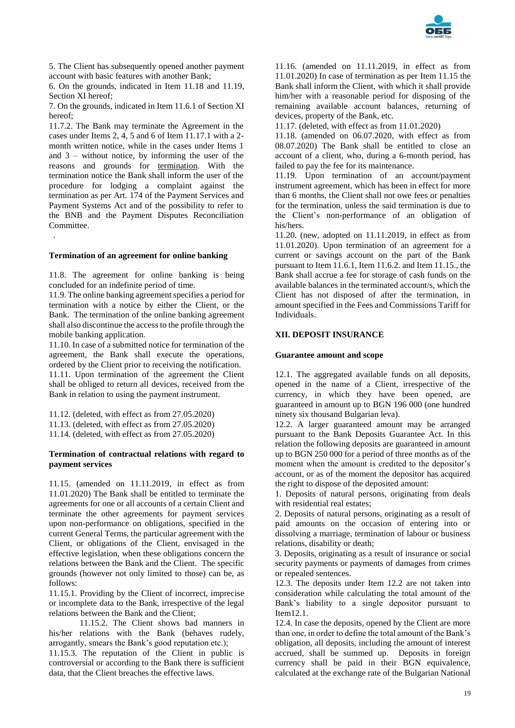

5. The Client has subsequently opened another payment account with basic features with another Bank;

6. On the grounds, indicated in Item 11.18 and 11.19, Section XI hereof;

7. On the grounds, indicated in Item 11.6.1 of Section XI hereof;

11.7.2. The Bank may terminate the Agreement in the cases under Items 2, 4, 5 and 6 of Item 11.17.1 with a 2 month written notice, while in the cases under Items 1 and  $3$  – without notice, by informing the user of the reasons and grounds for termination. With the termination notice the Bank shall inform the user of the procedure for lodging a complaint against the termination as per Art. 174 of the Payment Services and Payment Systems Act and of the possibility to refer to the BNB and the Payment Disputes Reconciliation Committee. .

#### **Termination of an agreement for online banking**

11.8. The agreement for online banking is being concluded for an indefinite period of time.

11.9. The online banking agreement specifies a period for termination with a notice by either the Client, or the Bank. The termination of the online banking agreement shall also discontinue the access to the profile through the mobile banking application.

11.10. In case of a submitted notice for termination of the agreement, the Bank shall execute the operations, ordered by the Client prior to receiving the notification. 11.11. Upon termination of the agreement the Client shall be obliged to return all devices, received from the Bank in relation to using the payment instrument.

11.12. (deleted, with effect as from 27.05.2020)

11.13. (deleted, with effect as from 27.05.2020)

11.14. (deleted, with effect as from 27.05.2020)

#### **Termination of contractual relations with regard to payment services**

11.15. (amended on 11.11.2019, in effect as from 11.01.2020) The Bank shall be entitled to terminate the agreements for one or all accounts of a certain Client and terminate the other agreements for payment services upon non-performance on obligations, specified in the current General Terms, the particular agreement with the Client, or obligations of the Client, envisaged in the effective legislation, when these obligations concern the relations between the Bank and the Client. The specific grounds (however not only limited to those) can be, as follows:

11.15.1. Providing by the Client of incorrect, imprecise or incomplete data to the Bank, irrespective of the legal relations between the Bank and the Client;

11.15.2. The Client shows bad manners in his/her relations with the Bank (behaves rudely, arrogantly, smears the Bank's good reputation etc.); 11.15.3. The reputation of the Client in public is controversial or according to the Bank there is sufficient data, that the Client breaches the effective laws.

11.16. (amended on 11.11.2019, in effect as from 11.01.2020) In case of termination as per Item 11.15 the Bank shall inform the Client, with which it shall provide him/her with a reasonable period for disposing of the remaining available account balances, returning of devices, property of the Bank, etc.

11.17. (deleted, with effect as from 11.01.2020)

11.18. (amended on 06.07.2020, with effect as from 08.07.2020) The Bank shall be entitled to close an account of a client, who, during a 6-month period, has failed to pay the fee for its maintenance.

11.19. Upon termination of an account/payment instrument agreement, which has been in effect for more than 6 months, the Client shall not owe fees or penalties for the termination, unless the said termination is due to the Client's non-performance of an obligation of his/hers.

11.20. (new, adopted on 11.11.2019, in effect as from 11.01.2020). Upon termination of an agreement for a current or savings account on the part of the Bank pursuant to Item 11.6.1, Item 11.6.2. and Item 11.15., the Bank shall accrue a fee for storage of cash funds on the available balances in the terminated account/s, which the Client has not disposed of after the termination, in amount specified in the Fees and Commissions Tariff for Individuals.

### **XII. DEPOSIT INSURANCE**

#### **Guarantee amount and scope**

12.1. The aggregated available funds on all deposits, opened in the name of a Client, irrespective of the currency, in which they have been opened, are guaranteed in amount up to BGN 196 000 (one hundred ninety six thousand Bulgarian leva).

12.2. A larger guaranteed amount may be arranged pursuant to the Bank Deposits Guarantee Act. In this relation the following deposits are guaranteed in amount up to BGN 250 000 for a period of three months as of the moment when the amount is credited to the depositor's account, or as of the moment the depositor has acquired the right to dispose of the deposited amount:

1. Deposits of natural persons, originating from deals with residential real estates;

2. Deposits of natural persons, originating as a result of paid amounts on the occasion of entering into or dissolving a marriage, termination of labour or business relations, disability or death;

3. Deposits, originating as a result of insurance or social security payments or payments of damages from crimes or repealed sentences.

12.3. The deposits under Item 12.2 are not taken into consideration while calculating the total amount of the Bank's liability to a single depositor pursuant to Item12.1.

12.4. In case the deposits, opened by the Client are more than one, in order to define the total amount of the Bank's obligation, all deposits, including the amount of interest accrued, shall be summed up. Deposits in foreign currency shall be paid in their BGN equivalence, calculated at the exchange rate of the Bulgarian National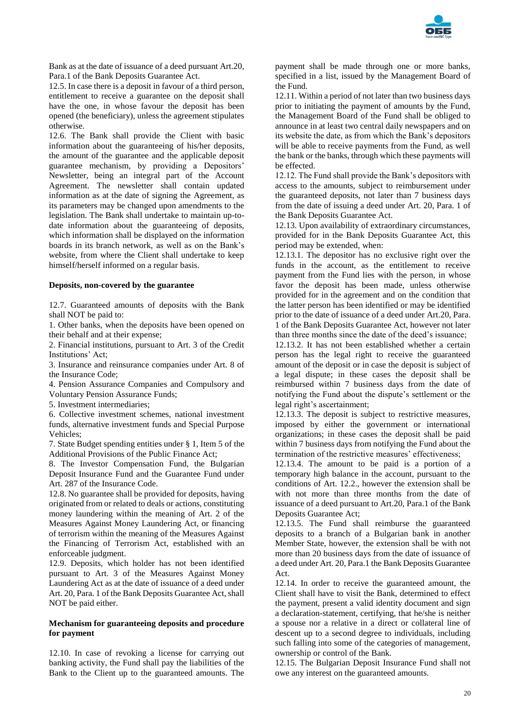

Bank as at the date of issuance of a deed pursuant Art.20, Para.1 of the Bank Deposits Guarantee Act.

12.5. In case there is a deposit in favour of a third person, entitlement to receive a guarantee on the deposit shall have the one, in whose favour the deposit has been opened (the beneficiary), unless the agreement stipulates otherwise.

12.6. The Bank shall provide the Client with basic information about the guaranteeing of his/her deposits, the amount of the guarantee and the applicable deposit guarantee mechanism, by providing a Depositors' Newsletter, being an integral part of the Account Agreement. The newsletter shall contain updated information as at the date of signing the Agreement, as its parameters may be changed upon amendments to the legislation. The Bank shall undertake to maintain up-todate information about the guaranteeing of deposits, which information shall be displayed on the information boards in its branch network, as well as on the Bank's website, from where the Client shall undertake to keep himself/herself informed on a regular basis.

#### **Deposits, non-covered by the guarantee**

12.7. Guaranteed amounts of deposits with the Bank shall NOT be paid to:

1. Other banks, when the deposits have been opened on their behalf and at their expense;

2. Financial institutions, pursuant to Art. 3 of the Credit Institutions' Act;

3. Insurance and reinsurance companies under Art. 8 of the Insurance Code;

4. Pension Assurance Companies and Compulsory and Voluntary Pension Assurance Funds;

5. Investment intermediaries;

6. Collective investment schemes, national investment funds, alternative investment funds and Special Purpose Vehicles;

7. State Budget spending entities under § 1, Item 5 of the Additional Provisions of the Public Finance Act;

8. The Investor Compensation Fund, the Bulgarian Deposit Insurance Fund and the Guarantee Fund under Art. 287 of the Insurance Code.

12.8. No guarantee shall be provided for deposits, having originated from or related to deals or actions, constituting money laundering within the meaning of Art. 2 of the Measures Against Money Laundering Act, or financing of terrorism within the meaning of the Measures Against the Financing of Terrorism Act, established with an enforceable judgment.

12.9. Deposits, which holder has not been identified pursuant to Art. 3 of the Measures Against Money Laundering Act as at the date of issuance of a deed under Art. 20, Para. 1 of the Bank Deposits Guarantee Act, shall NOT be paid either.

#### **Mechanism for guaranteeing deposits and procedure for payment**

12.10. In case of revoking a license for carrying out banking activity, the Fund shall pay the liabilities of the Bank to the Client up to the guaranteed amounts. The payment shall be made through one or more banks, specified in a list, issued by the Management Board of the Fund.

12.11. Within a period of not later than two business days prior to initiating the payment of amounts by the Fund, the Management Board of the Fund shall be obliged to announce in at least two central daily newspapers and on its website the date, as from which the Bank's depositors will be able to receive payments from the Fund, as well the bank or the banks, through which these payments will be effected.

12.12. The Fund shall provide the Bank's depositors with access to the amounts, subject to reimbursement under the guaranteed deposits, not later than 7 business days from the date of issuing a deed under Art. 20, Para. 1 of the Bank Deposits Guarantee Act.

12.13. Upon availability of extraordinary circumstances, provided for in the Bank Deposits Guarantee Act, this period may be extended, when:

12.13.1. The depositor has no exclusive right over the funds in the account, as the entitlement to receive payment from the Fund lies with the person, in whose favor the deposit has been made, unless otherwise provided for in the agreement and on the condition that the latter person has been identified or may be identified prior to the date of issuance of a deed under Art.20, Para. 1 of the Bank Deposits Guarantee Act, however not later than three months since the date of the deed's issuance;

12.13.2. It has not been established whether a certain person has the legal right to receive the guaranteed amount of the deposit or in case the deposit is subject of a legal dispute; in these cases the deposit shall be reimbursed within 7 business days from the date of notifying the Fund about the dispute's settlement or the legal right's ascertainment;

12.13.3. The deposit is subject to restrictive measures, imposed by either the government or international organizations; in these cases the deposit shall be paid within 7 business days from notifying the Fund about the termination of the restrictive measures' effectiveness;

12.13.4. The amount to be paid is a portion of a temporary high balance in the account, pursuant to the conditions of Art. 12.2., however the extension shall be with not more than three months from the date of issuance of a deed pursuant to Art.20, Para.1 of the Bank Deposits Guarantee Act;

12.13.5. The Fund shall reimburse the guaranteed deposits to a branch of a Bulgarian bank in another Member State, however, the extension shall be with not more than 20 business days from the date of issuance of a deed under Art. 20, Para.1 the Bank Deposits Guarantee Act.

12.14. In order to receive the guaranteed amount, the Client shall have to visit the Bank, determined to effect the payment, present a valid identity document and sign a declaration-statement, certifying, that he/she is neither a spouse nor a relative in a direct or collateral line of descent up to a second degree to individuals, including such falling into some of the categories of management, ownership or control of the Bank.

12.15. The Bulgarian Deposit Insurance Fund shall not owe any interest on the guaranteed amounts.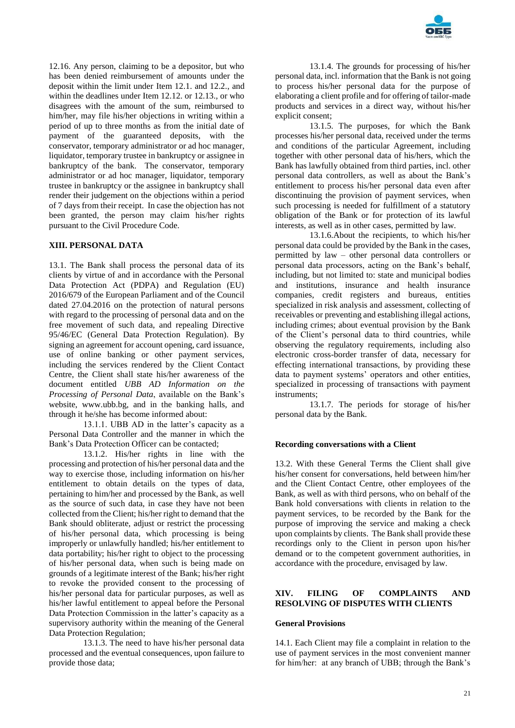

12.16. Any person, claiming to be a depositor, but who has been denied reimbursement of amounts under the deposit within the limit under Item 12.1. and 12.2., and within the deadlines under Item 12.12. or 12.13., or who disagrees with the amount of the sum, reimbursed to him/her, may file his/her objections in writing within a period of up to three months as from the initial date of payment of the guaranteed deposits, with the conservator, temporary administrator or ad hoc manager, liquidator, temporary trustee in bankruptcy or assignee in bankruptcy of the bank. The conservator, temporary administrator or ad hoc manager, liquidator, temporary trustee in bankruptcy or the assignee in bankruptcy shall render their judgement on the objections within a period of 7 days from their receipt. In case the objection has not been granted, the person may claim his/her rights pursuant to the Civil Procedure Code.

### **XIII. PERSONAL DATA**

13.1. The Bank shall process the personal data of its clients by virtue of and in accordance with the Personal Data Protection Act (PDPA) and Regulation (EU) 2016/679 of the European Parliament and of the Council dated 27.04.2016 on the protection of natural persons with regard to the processing of personal data and on the free movement of such data, and repealing Directive 95/46/EC (General Data Protection Regulation). By signing an agreement for account opening, card issuance, use of online banking or other payment services, including the services rendered by the Client Contact Centre, the Client shall state his/her awareness of the document entitled *UBB AD Information on the Processing of Personal Data*, available on the Bank's website, www.ubb.bg, and in the banking halls, and through it he/she has become informed about:

13.1.1. UBB AD in the latter's capacity as a Personal Data Controller and the manner in which the Bank's Data Protection Officer can be contacted;

13.1.2. His/her rights in line with the processing and protection of his/her personal data and the way to exercise those, including information on his/her entitlement to obtain details on the types of data, pertaining to him/her and processed by the Bank, as well as the source of such data, in case they have not been collected from the Client; his/her right to demand that the Bank should obliterate, adjust or restrict the processing of his/her personal data, which processing is being improperly or unlawfully handled; his/her entitlement to data portability; his/her right to object to the processing of his/her personal data, when such is being made on grounds of a legitimate interest of the Bank; his/her right to revoke the provided consent to the processing of his/her personal data for particular purposes, as well as his/her lawful entitlement to appeal before the Personal Data Protection Commission in the latter's capacity as a supervisory authority within the meaning of the General Data Protection Regulation;

13.1.3. The need to have his/her personal data processed and the eventual consequences, upon failure to provide those data;

13.1.4. The grounds for processing of his/her personal data, incl. information that the Bank is not going to process his/her personal data for the purpose of elaborating a client profile and for offering of tailor-made products and services in a direct way, without his/her explicit consent;

13.1.5. The purposes, for which the Bank processes his/her personal data, received under the terms and conditions of the particular Agreement, including together with other personal data of his/hers, which the Bank has lawfully obtained from third parties, incl. other personal data controllers, as well as about the Bank's entitlement to process his/her personal data even after discontinuing the provision of payment services, when such processing is needed for fulfillment of a statutory obligation of the Bank or for protection of its lawful interests, as well as in other cases, permitted by law.

13.1.6.About the recipients, to which his/her personal data could be provided by the Bank in the cases, permitted by law – other personal data controllers or personal data processors, acting on the Bank's behalf, including, but not limited to: state and municipal bodies and institutions, insurance and health insurance companies, credit registers and bureaus, entities specialized in risk analysis and assessment, collecting of receivables or preventing and establishing illegal actions, including crimes; about eventual provision by the Bank of the Client's personal data to third countries, while observing the regulatory requirements, including also electronic cross-border transfer of data, necessary for effecting international transactions, by providing these data to payment systems' operators and other entities, specialized in processing of transactions with payment instruments;

13.1.7. The periods for storage of his/her personal data by the Bank.

# **Recording conversations with a Client**

13.2. With these General Terms the Client shall give his/her consent for conversations, held between him/her and the Client Contact Centre, other employees of the Bank, as well as with third persons, who on behalf of the Bank hold conversations with clients in relation to the payment services, to be recorded by the Bank for the purpose of improving the service and making a check upon complaints by clients. The Bank shall provide these recordings only to the Client in person upon his/her demand or to the competent government authorities, in accordance with the procedure, envisaged by law.

### **XIV. FILING OF COMPLAINTS AND RESOLVING OF DISPUTES WITH CLIENTS**

#### **General Provisions**

14.1. Each Client may file a complaint in relation to the use of payment services in the most convenient manner for him/her: at any branch of UBB; through the Bank's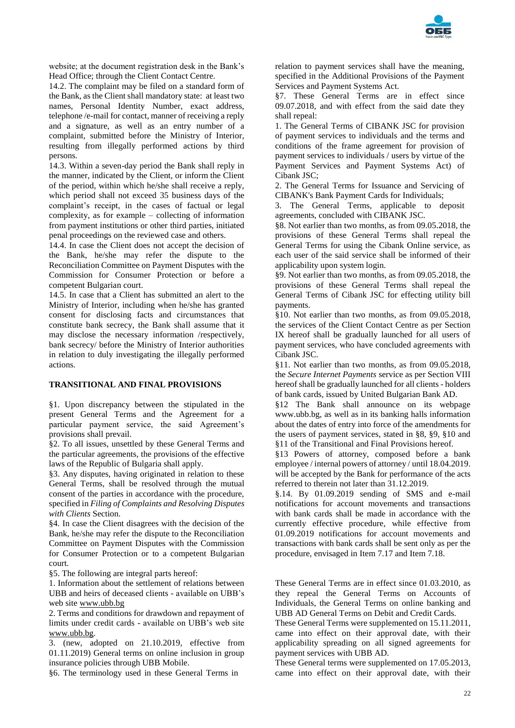

website; at the document registration desk in the Bank's Head Office; through the Client Contact Centre.

14.2. The complaint may be filed on a standard form of the Bank, as the Client shall mandatory state: at least two names, Personal Identity Number, exact address, telephone /e-mail for contact, manner of receiving a reply and a signature, as well as an entry number of a complaint, submitted before the Ministry of Interior, resulting from illegally performed actions by third persons.

14.3. Within a seven-day period the Bank shall reply in the manner, indicated by the Client, or inform the Client of the period, within which he/she shall receive a reply, which period shall not exceed 35 business days of the complaint's receipt, in the cases of factual or legal complexity, as for example – collecting of information from payment institutions or other third parties, initiated penal proceedings on the reviewed case and others.

14.4. In case the Client does not accept the decision of the Bank, he/she may refer the dispute to the Reconciliation Committee on Payment Disputes with the Commission for Consumer Protection or before a competent Bulgarian court.

14.5. In case that a Client has submitted an alert to the Ministry of Interior, including when he/she has granted consent for disclosing facts and circumstances that constitute bank secrecy, the Bank shall assume that it may disclose the necessary information /respectively, bank secrecy/ before the Ministry of Interior authorities in relation to duly investigating the illegally performed actions.

#### **TRANSITIONAL AND FINAL PROVISIONS**

§1. Upon discrepancy between the stipulated in the present General Terms and the Agreement for a particular payment service, the said Agreement's provisions shall prevail.

§2. To all issues, unsettled by these General Terms and the particular agreements, the provisions of the effective laws of the Republic of Bulgaria shall apply.

§3. Any disputes, having originated in relation to these General Terms, shall be resolved through the mutual consent of the parties in accordance with the procedure, specified in *Filing of Complaints and Resolving Disputes with Clients* Section.

§4. In case the Client disagrees with the decision of the Bank, he/she may refer the dispute to the Reconciliation Committee on Payment Disputes with the Commission for Consumer Protection or to a competent Bulgarian court.

§5. The following are integral parts hereof:

1. Information about the settlement of relations between UBB and heirs of deceased clients - available on UBB's web site [www.ubb.bg](http://www.ubb.bg/)

2. Terms and conditions for drawdown and repayment of limits under credit cards - available on UBB's web site [www.ubb.bg.](http://www.ubb.bg/)

3. (new, adopted on 21.10.2019, effective from 01.11.2019) General terms on online inclusion in group insurance policies through UBB Mobile.

§6. The terminology used in these General Terms in

relation to payment services shall have the meaning, specified in the Additional Provisions of the Payment Services and Payment Systems Act.

§7. These General Terms are in effect since 09.07.2018, and with effect from the said date they shall repeal:

1. The General Terms of CIBANK JSC for provision of payment services to individuals and the terms and conditions of the frame agreement for provision of payment services to individuals / users by virtue of the Payment Services and Payment Systems Act) of Cibank ISC<sup>,</sup>

2. The General Terms for Issuance and Servicing of CIBANK's Bank Payment Cards for Individuals;

3. The General Terms, applicable to deposit agreements, concluded with CIBANK JSC.

§8. Not earlier than two months, as from 09.05.2018, the provisions of these General Terms shall repeal the General Terms for using the Cibank Online service, as each user of the said service shall be informed of their applicability upon system login.

§9. Not earlier than two months, as from 09.05.2018, the provisions of these General Terms shall repeal the General Terms of Cibank JSC for effecting utility bill payments.

§10. Not earlier than two months, as from 09.05.2018, the services of the Client Contact Centre as per Section IX hereof shall be gradually launched for all users of payment services, who have concluded agreements with Cibank JSC.

§11. Not earlier than two months, as from 09.05.2018, the *Secure Internet Payments* service as per Section VIII hereof shall be gradually launched for all clients - holders of bank cards, issued by United Bulgarian Bank AD.

§12 The Bank shall announce on its webpage www.ubb.bg, as well as in its banking halls information about the dates of entry into force of the amendments for the users of payment services, stated in §8, §9, §10 and §11 of the Transitional and Final Provisions hereof.

§13 Powers of attorney, composed before a bank employee / internal powers of attorney / until 18.04.2019. will be accepted by the Bank for performance of the acts referred to therein not later than 31.12.2019.

§.14. By 01.09.2019 sending of SMS and e-mail notifications for account movements and transactions with bank cards shall be made in accordance with the currently effective procedure, while effective from 01.09.2019 notifications for account movements and transactions with bank cards shall be sent only as per the procedure, envisaged in Item 7.17 and Item 7.18.

These General Terms are in effect since 01.03.2010, as they repeal the General Terms on Accounts of Individuals, the General Terms on online banking and UBB AD General Terms on Debit and Credit Cards.

These General Terms were supplemented on 15.11.2011, came into effect on their approval date, with their applicability spreading on all signed agreements for payment services with UBB AD.

These General terms were supplemented on 17.05.2013, came into effect on their approval date, with their